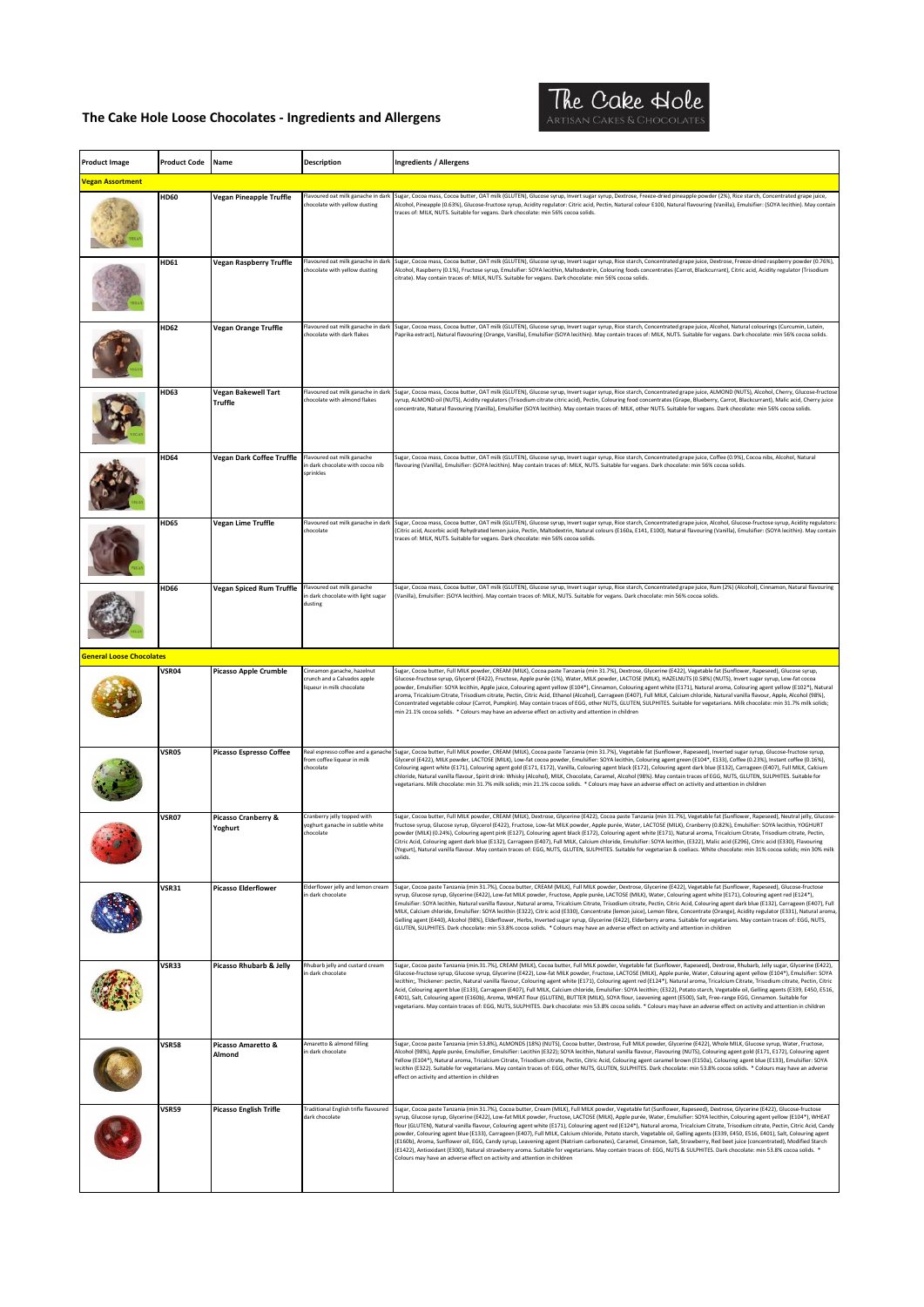

| <b>Product Image</b>            | <b>Product Code</b> | Name                                  | Description                                                                            | <b>Ingredients / Allergens</b>                                                                                                                                                                                                                                                                                                                                                                                                                                                                                                                                                                                                                                                                                                                                                                                                                                                                                                                                                                                                                                                                                                                                            |
|---------------------------------|---------------------|---------------------------------------|----------------------------------------------------------------------------------------|---------------------------------------------------------------------------------------------------------------------------------------------------------------------------------------------------------------------------------------------------------------------------------------------------------------------------------------------------------------------------------------------------------------------------------------------------------------------------------------------------------------------------------------------------------------------------------------------------------------------------------------------------------------------------------------------------------------------------------------------------------------------------------------------------------------------------------------------------------------------------------------------------------------------------------------------------------------------------------------------------------------------------------------------------------------------------------------------------------------------------------------------------------------------------|
| <b>Vegan Assortment</b>         |                     |                                       |                                                                                        |                                                                                                                                                                                                                                                                                                                                                                                                                                                                                                                                                                                                                                                                                                                                                                                                                                                                                                                                                                                                                                                                                                                                                                           |
|                                 | <b>HD60</b>         | Vegan Pineapple Truffle               | Flavoured oat milk ganache in darl<br>chocolate with yellow dusting                    | Sugar, Cocoa mass, Cocoa butter, OAT milk (GLUTEN), Glucose syrup, Invert sugar syrup, Dextrose, Freeze-dried pineapple powder (2%), Rice starch, Concentrated grape juice,<br>Alcohol, Pineapple (0.63%), Glucose-fructose syrup, Acidity regulator: Citric acid, Pectin, Natural colour E100, Natural flavouring (Vanilla), Emulsifier: (SOYA lecithin). May contain<br>traces of: MILK, NUTS. Suitable for vegans. Dark chocolate: min 56% cocoa solids.                                                                                                                                                                                                                                                                                                                                                                                                                                                                                                                                                                                                                                                                                                               |
|                                 | HD61                | Vegan Raspberry Truffle               | Flavoured oat milk ganache in dar<br>chocolate with yellow dusting                     | Sugar, Cocoa mass, Cocoa butter, OAT milk (GLUTEN), Glucose syrup, Invert sugar syrup, Rice starch, Concentrated grape juice, Dextrose, Freeze-dried raspberry powder (0.76%),<br>Alcohol, Raspberry (0.1%), Fructose syrup, Emulsifier: SOYA lecithin, Maltodextrin, Colouring foods concentrates (Carrot, Blackcurrant), Citric acid, Acidity regulator (Trisodium<br>citrate). May contain traces of: MILK, NUTS. Suitable for vegans. Dark chocolate: min 56% cocoa solids.                                                                                                                                                                                                                                                                                                                                                                                                                                                                                                                                                                                                                                                                                           |
|                                 | <b>HD62</b>         | <b>Vegan Orange Truffle</b>           | Flavoured oat milk ganache in darl<br>chocolate with dark flakes                       | Sugar, Cocoa mass, Cocoa butter, OAT milk (GLUTEN), Glucose syrup, Invert sugar syrup, Rice starch, Concentrated grape juice, Alcohol, Natural colourings (Curcumin, Lutein,<br>Paprika extract), Natural flavouring (Orange, Vanilla), Emulsifier (SOYA lecithin). May contain traces of: MILK, NUTS. Suitable for vegans. Dark chocolate: min 56% cocoa solids.                                                                                                                                                                                                                                                                                                                                                                                                                                                                                                                                                                                                                                                                                                                                                                                                         |
|                                 | HD63                | Vegan Bakewell Tart<br><b>Truffle</b> | Flavoured oat milk ganache in darl<br>hocolate with almond flakes                      | Sugar, Cocoa mass, Cocoa butter, OAT milk (GLUTEN), Glucose syrup, Invert sugar syrup, Rice starch, Concentrated grape juice, ALMOND (NUTS), Alcohol, Cherry, Glucose-fructos<br>syrup, ALMOND oil (NUTS), Acidity regulators (Trisodium citrate citric acid), Pectin, Colouring food concentrates (Grape, Blueberry, Carrot, Blackcurrant), Malic acid, Cherry juice<br>concentrate, Natural flavouring (Vanilla), Emulsifier (SOYA lecithin). May contain traces of: MILK, other NUTS. Suitable for vegans. Dark chocolate: min 56% cocoa solids.                                                                                                                                                                                                                                                                                                                                                                                                                                                                                                                                                                                                                       |
|                                 | <b>HD64</b>         | Vegan Dark Coffee Truffle             | Flavoured oat milk ganache<br>in dark chocolate with cocoa nib<br>sprinkles            | .<br>Sugar, Cocoa mass, Cocoa butter, OAT milk (GLUTEN), Glucose syrup, Invert sugar syrup, Rice starch, Concentrated grape juice, Coffee (0.9%), Cocoa nibs, Alcohol, Natural<br>flavouring (Vanilla), Emulsifier: (SOYA lecithin). May contain traces of: MILK, NUTS. Suitable for vegans. Dark chocolate: min 56% cocoa solids.                                                                                                                                                                                                                                                                                                                                                                                                                                                                                                                                                                                                                                                                                                                                                                                                                                        |
|                                 | <b>HD65</b>         | Vegan Lime Truffle                    | Flavoured oat milk ganache in darl<br>chocolate                                        | Sugar, Cocoa mass, Cocoa butter, OAT milk (GLUTEN), Glucose syrup, Invert sugar syrup, Rice starch, Concentrated grape juice, Alcohol, Glucose-fructose syrup, Acidity regulators<br>(Citric acid, Ascorbic acid) Rehydrated lemon juice, Pectin, Maltodextrin, Natural colours (E160a, E141, E100), Natural flavouring (Vanilla), Emulsifier: (SOYA lecithin). May contain<br>traces of: MILK, NUTS. Suitable for vegans. Dark chocolate: min 56% cocoa solids.                                                                                                                                                                                                                                                                                                                                                                                                                                                                                                                                                                                                                                                                                                          |
|                                 | <b>HD66</b>         | Vegan Spiced Rum Truffle              | Flavoured oat milk ganache<br>in dark chocolate with light sugar<br>dusting            | Sugar, Cocoa mass, Cocoa butter, OAT milk (GLUTEN), Glucose syrup, Invert sugar syrup, Rice starch, Concentrated grape juice, Rum (2%) (Alcohol), Cinnamon, Natural flavouring<br>(Vanilla), Emulsifier: (SOYA lecithin). May contain traces of: MILK, NUTS. Suitable for vegans. Dark chocolate: min 56% cocoa solids.                                                                                                                                                                                                                                                                                                                                                                                                                                                                                                                                                                                                                                                                                                                                                                                                                                                   |
| <b>General Loose Chocolates</b> |                     |                                       |                                                                                        |                                                                                                                                                                                                                                                                                                                                                                                                                                                                                                                                                                                                                                                                                                                                                                                                                                                                                                                                                                                                                                                                                                                                                                           |
|                                 | VSR04               | <b>Picasso Apple Crumble</b>          | Cinnamon ganache, hazelnut<br>crunch and a Calvados apple<br>liqueur in milk chocolate | Sugar, Cocoa butter, Full MILK powder, CREAM (MILK), Cocoa paste Tanzania (min 31.7%), Dextrose, Glycerine (E422), Vegetable fat (Sunflower, Rapeseed), Glucose syrup,<br>Glucose-fructose syrup, Glycerol (E422), Fructose, Apple purée (1%), Water, MILK powder, LACTOSE (MILK), HAZELNUTS (0.58%) (NUTS), Invert sugar syrup, Low-fat cocoa<br>powder, Emulsifier: SOYA lecithin, Apple juice, Colouring agent yellow (E104*), Cinnamon, Colouring agent white (E171), Natural aroma, Colouring agent yellow (E102*), Natural<br>aroma, Tricalcium Citrate, Trisodium citrate, Pectin, Citric Acid, Ethanol (Alcohol), Carrageen (E407), Full MILK, Calcium chloride, Natural vanilla flavour, Apple, Alcohol (98%),<br>Concentrated vegetable colour (Carrot, Pumpkin). May contain traces of EGG, other NUTS, GLUTEN, SULPHITES. Suitable for vegetarians. Milk chocolate: min 31.7% milk solids;<br>min 21.1% cocoa solids. * Colours may have an adverse effect on activity and attention in children                                                                                                                                                              |
|                                 | VSR05               | Picasso Espresso Coffee               | Real espresso coffee and a ganache<br>from coffee liqueur in milk<br>chocolate         | Sugar, Cocoa butter, Full MILK powder, CREAM (MILK), Cocoa paste Tanzania (min 31.7%), Vegetable fat (Sunflower, Rapeseed), Inverted sugar syrup, Glucose-fructose syrup,<br>Glycerol (E422), MILK powder, LACTOSE (MILK), Low-fat cocoa powder, Emulsifier: SOYA lecithin, Colouring agent green (E104*, E133), Coffee (0.23%), Instant coffee (0.16%),<br>Colouring agent white (E171), Colouring agent gold (E171, E172), Vanilla, Colouring agent black (E172), Colouring agent dark blue (E132), Carrageen (E407), Full MILK, Calcium<br>chloride, Natural vanilla flavour, Spirit drink: Whisky (Alcohol), MILK, Chocolate, Caramel, Alcohol (98%). May contain traces of EGG, NUTS, GLUTEN, SULPHITES. Suitable for<br>egetarians. Milk chocolate: min 31.7% milk solids; min 21.1% cocoa solids. * Colours may have an adverse effect on activity and attention in children                                                                                                                                                                                                                                                                                       |
|                                 | <b>VSR07</b>        | Picasso Cranberry &<br>Yoghurt        | Cranberry jelly topped with<br>yoghurt ganache in subtle white<br>chocolate            | iugar, Cocoa butter, Full MILK powder, CREAM (MILK), Dextrose, Glycerine (E422), Cocoa paste Tanzania (min 31.7%), Vegetable fat (Sunflower, Rapeseed), Neutral jelly, Glucose<br>fructose syrup, Glucose syrup, Glycerol (E422), Fructose, Low-fat MILK powder, Apple purée, Water, LACTOSE (MILK), Cranberry (0.82%), Emulsifier: SOYA lecithin, YOGHURT<br>powder (MILK) (0.24%), Colouring agent pink (E127), Colouring agent black (E172), Colouring agent white (E171), Natural aroma, Tricalcium Citrate, Trisodium citrate, Pectin,<br>itric Acid, Colouring agent dark blue (E132), Carrageen (E407), Full MILK, Calcium chloride, Emulsifier: SOYA lecithin, (E322), Malic acid (E296), Citric acid (E330), Flavouring.<br>(Yogurt), Natural vanilla flavour. May contain traces of: EGG, NUTS, GLUTEN, SULPHITES. Suitable for vegetarian & coeliacs. White chocolate: min 31% cocoa solids; min 30% milk<br>solids.                                                                                                                                                                                                                                           |
|                                 | <b>VSR31</b>        | <b>Picasso Elderflower</b>            | Elderflower jelly and lemon cream<br>n dark chocolate                                  | Sugar, Cocoa paste Tanzania (min 31.7%), Cocoa butter, CREAM (MILK), Full MILK powder, Dextrose, Glycerine (E422), Vegetable fat (Sunflower, Rapeseed), Glucose-fructose<br>syrup, Glucose syrup, Glycerine (E422), Low-fat MILK powder, Fructose, Apple purée, LACTOSE (MILK), Water, Colouring agent white (E171), Colouring agent red (E124*),<br>Emulsifier: SOYA lecithin, Natural vanilla flavour, Natural aroma, Tricalcium Citrate, Trisodium citrate, Pectin, Citric Acid, Colouring agent dark blue (E132), Carrageen (E407), Full<br>MILK, Calcium chloride, Emulsifier: SOYA lecithin (E322), Citric acid (E330), Concentrate (lemon juice), Lemon fibre, Concentrate (Orange), Acidity regulator (E331), Natural aroma,<br>Gelling agent (E440), Alcohol (98%), Elderflower, Herbs, Inverted sugar syrup, Glycerine (E422), Elderberry aroma. Suitable for vegetarians. May contain traces of: EGG, NUTS,<br>GLUTEN, SULPHITES. Dark chocolate: min 53.8% cocoa solids. * Colours may have an adverse effect on activity and attention in children                                                                                                           |
|                                 | VSR33               | Picasso Rhubarb & Jelly               | Rhubarb jelly and custard cream<br>in dark chocolate                                   | Sugar, Cocoa paste Tanzania (min.31.7%), CREAM (MILK), Cocoa butter, Full MILK powder, Vegetable fat (Sunflower, Rapeseed), Dextrose, Rhubarb, Jelly sugar, Glycerine (E422),<br>Glucose-fructose syrup, Glucose syrup, Glycerine (E422), Low-fat MILK powder, Fructose, LACTOSE (MILK), Apple purée, Water, Colouring agent yellow (E104*), Emulsifier: SOYA<br>lecithin;, Thickener: pectin, Natural vanilla flavour, Colouring agent white (E171), Colouring agent red (E124*), Natural aroma, Tricalcium Citrate, Trisodium citrate, Pectin, Citric<br>Acid, Colouring agent blue (E133), Carrageen (E407), Full MILK, Calcium chloride, Emulsifier: SOYA lecithin; (E322), Potato starch, Vegetable oil, Gelling agents (E339, E450, E516,<br>E401), Salt, Colouring agent (E160b), Aroma, WHEAT flour (GLUTEN), BUTTER (MILK), SOYA flour, Leavening agent (E500), Salt, Free-range EGG, Cinnamon. Suitable for<br>vegetarians. May contain traces of: EGG, NUTS, SULPHITES. Dark chocolate: min 53.8% cocoa solids. * Colours may have an adverse effect on activity and attention in children                                                                     |
|                                 | <b>VSR58</b>        | Picasso Amaretto &<br>Almond          | Amaretto & almond filling<br>n dark chocolate                                          | Sugar, Cocoa paste Tanzania (min 53.8%), ALMONDS (18%) (NUTS), Cocoa butter, Dextrose, Full MILK powder, Glycerine (E422), Whole MILK, Glucose syrup, Water, Fructose,<br>Alcohol (98%), Apple purée, Emulsifier, Emulsifier: Lecithin (E322); SOYA lecithin, Natural vanilla flavour, Flavouring (NUTS), Colouring agent gold (E171, E172), Colouring agent<br>Yellow (E104*), Natural aroma, Tricalcium Citrate, Trisodium citrate, Pectin, Citric Acid, Colouring agent caramel brown (E150a), Colouring agent blue (E133), Emulsifier: SOYA<br>lecithin (E322). Suitable for vegetarians. May contain traces of: EGG, other NUTS, GLUTEN, SULPHITES. Dark chocolate: min 53.8% cocoa solids. * Colours may have an adverse<br>effect on activity and attention in children                                                                                                                                                                                                                                                                                                                                                                                            |
|                                 | <b>VSR59</b>        | <b>Picasso English Trifle</b>         | Traditional English trifle flavoured<br>dark chocolate                                 | Sugar, Cocoa paste Tanzania (min 31.7%), Cocoa butter, Cream (MILK), Full MILK powder, Vegetable fat (Sunflower, Rapeseed), Dextrose, Glycerine (E422), Glucose-fructose<br>syrup, Glucose syrup, Glycerine (E422), Low-fat MILK powder, Fructose, LACTOSE (MILK), Apple purée, Water, Emulsifier: SOYA lecithin, Colouring agent yellow (E104*), WHEAT<br>flour (GLUTEN), Natural vanilla flavour, Colouring agent white (E171), Colouring agent red (E124*), Natural aroma, Tricalcium Citrate, Trisodium citrate, Pectin, Citric Acid, Candy<br>powder, Colouring agent blue (E133), Carrageen (E407), Full MILK, Calcium chloride, Potato starch, Vegetable oil, Gelling agents (E339, E450, E516, E401), Salt, Colouring agent<br>(E160b), Aroma, Sunflower oil, EGG, Candy syrup, Leavening agent (Natrium carbonates), Caramel, Cinnamon, Salt, Strawberry, Red beet juice (concentrated), Modified Starch<br>(E1422), Antioxidant (E300), Natural strawberry aroma. Suitable for vegetarians. May contain traces of: EGG, NUTS & SULPHITES. Dark chocolate: min 53.8% cocoa solids. *<br>Colours may have an adverse effect on activity and attention in children |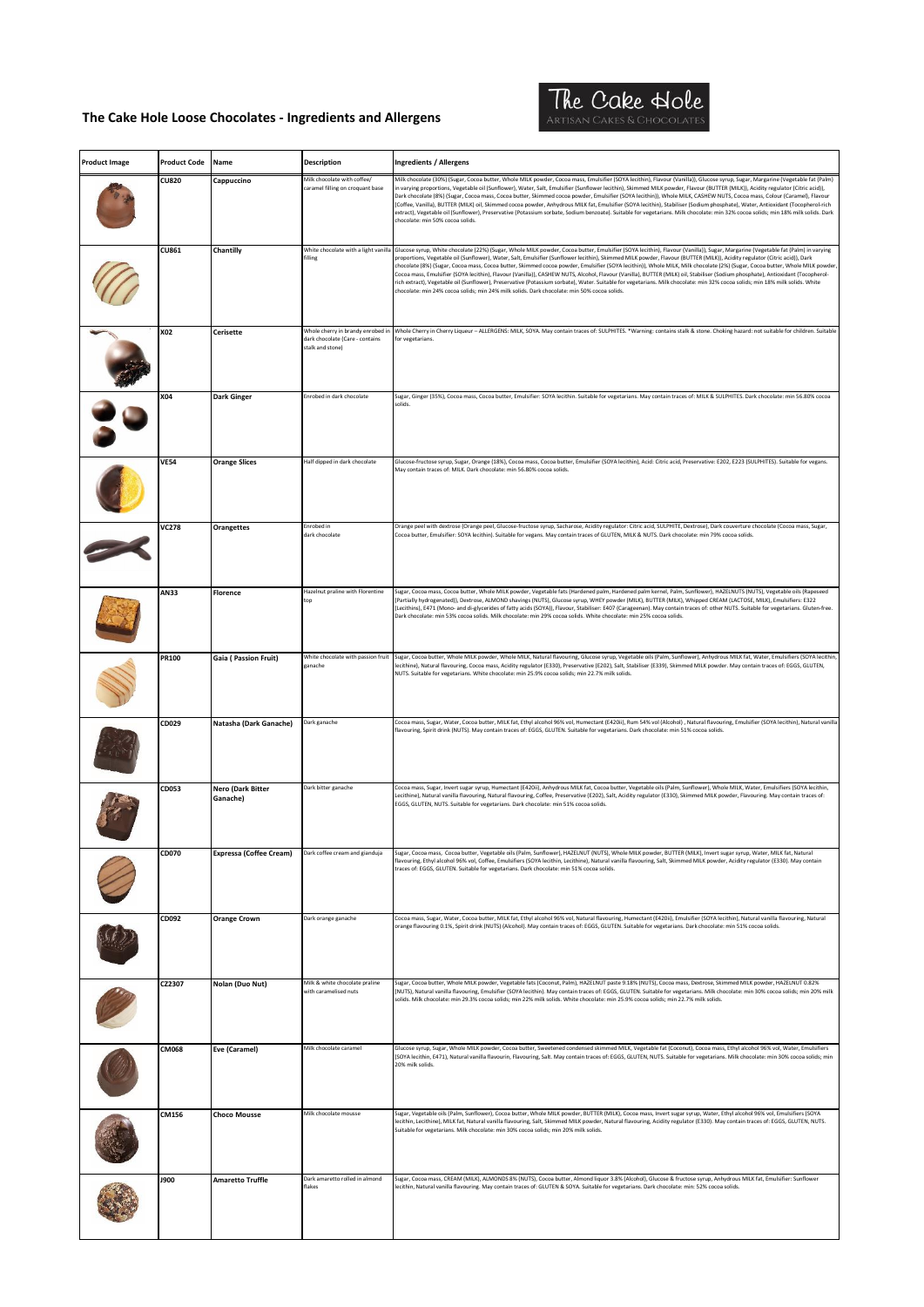

| <b>Product Image</b> | <b>Product Code</b> | Name                           | <b>Description</b>                                                                       | <b>Ingredients / Allergens</b>                                                                                                                                                                                                                                                                                                                                                                                                                                                                                                                                                                                                                                                                                                                                                                                                                                                                                                                                                                                  |
|----------------------|---------------------|--------------------------------|------------------------------------------------------------------------------------------|-----------------------------------------------------------------------------------------------------------------------------------------------------------------------------------------------------------------------------------------------------------------------------------------------------------------------------------------------------------------------------------------------------------------------------------------------------------------------------------------------------------------------------------------------------------------------------------------------------------------------------------------------------------------------------------------------------------------------------------------------------------------------------------------------------------------------------------------------------------------------------------------------------------------------------------------------------------------------------------------------------------------|
|                      | <b>CU820</b>        | Cappuccino                     | Milk chocolate with coffee/                                                              | Milk chocolate (30%) (Sugar, Cocoa butter, Whole MILK powder, Cocoa mass, Emulsifier (SOYA lecithin), Flavour (Vanilla)), Glucose syrup, Sugar, Margarine (Vegetable fat (Palm)                                                                                                                                                                                                                                                                                                                                                                                                                                                                                                                                                                                                                                                                                                                                                                                                                                 |
|                      |                     |                                | caramel filling on croquant base                                                         | in varying proportions, Vegetable oil (Sunflower), Water, Salt, Emulsifier (Sunflower lecithin), Skimmed MILK powder, Flavour (BUTTER (MILK)), Acidity regulator (Citric acid)),<br>Dark chocolate (8%) (Sugar, Cocoa mass, Cocoa butter, Skimmed cocoa powder, Emulsifier (SOYA lecithin)), Whole MILK, CASHEW NUTS, Cocoa mass, Colour (Caramel), Flavour<br>(Coffee, Vanilla), BUTTER (MILK) oil, Skimmed cocoa powder, Anhydrous MILK fat, Emulsifier (SOYA lecithin), Stabiliser (Sodium phosphate), Water, Antioxidant (Tocopherol-rich<br>extract), Vegetable oil (Sunflower), Preservative (Potassium sorbate, Sodium benzoate). Suitable for vegetarians. Milk chocolate: min 32% cocoa solids; min 18% milk solids. Dark<br>chocolate: min 50% cocoa solids.                                                                                                                                                                                                                                          |
|                      | CU861               | Chantilly                      | White chocolate with a light vanilla<br>filling                                          | Glucose syrup, White chocolate (22%) (Sugar, Whole MILK powder, Cocoa butter, Emulsifier (SOYA lecithin), Flavour (Vanilla)), Sugar, Margarine (Vegetable fat (Palm) in varying<br>proportions, Vegetable oil (Sunflower), Water, Salt, Emulsifier (Sunflower lecithin), Skimmed MILK powder, Flavour (BUTTER (MILK)), Acidity regulator (Citric acid)), Dark<br>chocolate (8%) (Sugar, Cocoa mass, Cocoa butter, Skimmed cocoa powder, Emulsifier (SOYA lecithin)), Whole MILK, Milk chocolate (2%) (Sugar, Cocoa butter, Whole MILK powder<br>Cocoa mass, Emulsifier (SOYA lecithin), Flavour (Vanilla)), CASHEW NUTS, Alcohol, Flavour (Vanilla), BUTTER (MILK) oil, Stabiliser (Sodium phosphate), Antioxidant (Tocopherol-<br>rich extract), Vegetable oil (Sunflower), Preservative (Potassium sorbate), Water. Suitable for vegetarians. Milk chocolate: min 32% cocoa solids; min 18% milk solids. White<br>chocolate: min 24% cocoa solids; min 24% milk solids. Dark chocolate: min 50% cocoa solids. |
|                      | X02                 | <b>Cerisette</b>               | Whole cherry in brandy enrobed in<br>dark chocolate (Care - contains<br>stalk and stone) | Whole Cherry in Cherry Liqueur - ALLERGENS: MILK, SOYA. May contain traces of: SULPHITES. *Warning: contains stalk & stone. Choking hazard: not suitable for children. Suitable<br>for vegetarians.                                                                                                                                                                                                                                                                                                                                                                                                                                                                                                                                                                                                                                                                                                                                                                                                             |
|                      | X04                 | <b>Dark Ginger</b>             | Enrobed in dark chocolate                                                                | Sugar, Ginger (35%), Cocoa mass, Cocoa butter, Emulsifier: SOYA lecithin. Suitable for vegetarians. May contain traces of: MILK & SULPHITES. Dark chocolate: min 56.80% cocoa<br>solids.                                                                                                                                                                                                                                                                                                                                                                                                                                                                                                                                                                                                                                                                                                                                                                                                                        |
|                      | <b>VE54</b>         | <b>Orange Slices</b>           | Half dipped in dark chocolate                                                            | Glucose-fructose syrup, Sugar, Orange (18%), Cocoa mass, Cocoa butter, Emulsifier (SOYA lecithin), Acid: Citric acid, Preservative: E202, E223 (SULPHITES). Suitable for vegans.<br>May contain traces of: MILK. Dark chocolate: min 56.80% cocoa solids.                                                                                                                                                                                                                                                                                                                                                                                                                                                                                                                                                                                                                                                                                                                                                       |
|                      | <b>VC278</b>        | <b>Orangettes</b>              | Enrobed in<br>dark chocolate                                                             | Orange peel with dextrose (Orange peel, Glucose-fructose syrup, Sacharose, Acidity regulator: Citric acid, SULPHITE, Dextrose), Dark couverture chocolate (Cocoa mass, Sugar,<br>Cocoa butter, Emulsifier: SOYA lecithin). Suitable for vegans. May contain traces of GLUTEN, MILK & NUTS. Dark chocolate: min 79% cocoa solids.                                                                                                                                                                                                                                                                                                                                                                                                                                                                                                                                                                                                                                                                                |
|                      | AN33                | Florence                       | Hazelnut praline with Florentine<br>top                                                  | Sugar, Cocoa mass, Cocoa butter, Whole MILK powder, Vegetable fats (Hardened palm, Hardened palm kernel, Palm, Sunflower), HAZELNUTS (NUTS), Vegetable oils (Rapeseed<br>(Partially hydrogenated)), Dextrose, ALMOND shavings (NUTS), Glucose syrup, WHEY powder (MILK), BUTTER (MILK), Whipped CREAM (LACTOSE, MILK), Emulsifiers: E322<br>(Lecithins), E471 (Mono- and di-glycerides of fatty acids (SOYA)), Flavour, Stabiliser: E407 (Carageenan). May contain traces of: other NUTS. Suitable for vegetarians. Gluten-free.<br>Dark chocolate: min 53% cocoa solids. Milk chocolate: min 29% cocoa solids. White chocolate: min 25% cocoa solids.                                                                                                                                                                                                                                                                                                                                                          |
|                      | PR100               | Gaia (Passion Fruit)           | ganache                                                                                  | White chocolate with passion fruit Sugar, Cocoa butter, Whole MILK powder, Whole MILK, Natural flavouring, Glucose syrup, Vegetable oils (Palm, Sunflower), Anhydrous MILK fat, Water, Emulsifiers (SOYA lecithin<br>lecithine), Natural flavouring, Cocoa mass, Acidity regulator (E330), Preservative (E202), Salt, Stabiliser (E339), Skimmed MILK powder. May contain traces of: EGGS, GLUTEN,<br>NUTS. Suitable for vegetarians. White chocolate: min 25.9% cocoa solids; min 22.7% milk solids.                                                                                                                                                                                                                                                                                                                                                                                                                                                                                                           |
|                      | CD029               | Natasha (Dark Ganache)         | Dark ganache                                                                             | Cocoa mass, Sugar, Water, Cocoa butter, MILK fat, Ethyl alcohol 96% vol, Humectant (E420ii), Rum 54% vol (Alcohol), Natural flavouring, Emulsifier (SOYA lecithin), Natural vanilla<br>flavouring, Spirit drink (NUTS). May contain traces of: EGGS, GLUTEN. Suitable for vegetarians. Dark chocolate: min 51% cocoa solids.                                                                                                                                                                                                                                                                                                                                                                                                                                                                                                                                                                                                                                                                                    |
|                      | CD053               | Nero (Dark Bitter<br>Ganache)  | Dark bitter ganache                                                                      | Cocoa mass, Sugar, Invert sugar syrup, Humectant (E420ii), Anhydrous MILK fat, Cocoa butter, Vegetable oils (Palm, Sunflower), Whole MILK, Water, Emulsifiers (SOYA lecithin,<br>Lecithine), Natural vanilla flavouring, Natural flavouring, Coffee, Preservative (E202), Salt, Acidity regulator (E330), Skimmed MILK powder, Flavouring. May contain traces of:<br>EGGS, GLUTEN, NUTS. Suitable for vegetarians. Dark chocolate: min 51% cocoa solids.                                                                                                                                                                                                                                                                                                                                                                                                                                                                                                                                                        |
|                      | CD070               | <b>Expressa (Coffee Cream)</b> | Dark coffee cream and gianduja                                                           | Sugar, Cocoa mass, Cocoa butter, Vegetable oils (Palm, Sunflower), HAZELNUT (NUTS), Whole MILK powder, BUTTER (MILK), Invert sugar syrup, Water, MILK fat, Natural<br>flavouring, Ethyl alcohol 96% vol, Coffee, Emulsifiers (SOYA lecithin, Lecithine), Natural vanilla flavouring, Salt, Skimmed MILK powder, Acidity regulator (E330). May contain<br>traces of: EGGS, GLUTEN. Suitable for vegetarians. Dark chocolate: min 51% cocoa solids.                                                                                                                                                                                                                                                                                                                                                                                                                                                                                                                                                               |
|                      | CD092               | <b>Orange Crown</b>            | Dark orange ganache                                                                      | Cocoa mass, Sugar, Water, Cocoa butter, MILK fat, Ethyl alcohol 96% vol, Natural flavouring, Humectant (E420ii), Emulsifier (SOYA lecithin), Natural vanilla flavouring, Natural<br>orange flavouring 0.1%, Spirit drink (NUTS) (Alcohol). May contain traces of: EGGS, GLUTEN. Suitable for vegetarians. Dark chocolate: min 51% cocoa solids.                                                                                                                                                                                                                                                                                                                                                                                                                                                                                                                                                                                                                                                                 |
|                      | CZ2307              | Nolan (Duo Nut)                | Milk & white chocolate praline<br>with caramelised nuts                                  | Sugar, Cocoa butter, Whole MILK powder, Vegetable fats (Coconut, Palm), HAZELNUT paste 9.18% (NUTS), Cocoa mass, Dextrose, Skimmed MILK powder, HAZELNUT 0.82%<br>(NUTS), Natural vanilla flavouring, Emulsifier (SOYA lecithin). May contain traces of: EGGS, GLUTEN. Suitable for vegetarians. Milk chocolate: min 30% cocoa solids; min 20% milk<br>solids. Milk chocolate: min 29.3% cocoa solids; min 22% milk solids. White chocolate: min 25.9% cocoa solids; min 22.7% milk solids.                                                                                                                                                                                                                                                                                                                                                                                                                                                                                                                     |
|                      | <b>CM068</b>        | Eve (Caramel)                  | Milk chocolate caramel                                                                   | Glucose syrup, Sugar, Whole MILK powder, Cocoa butter, Sweetened condensed skimmed MILK, Vegetable fat (Coconut), Cocoa mass, Ethyl alcohol 96% vol, Water, Emulsifiers<br>(SOYA lecithin, E471), Natural vanilla flavourin, Flavouring, Salt. May contain traces of: EGGS, GLUTEN, NUTS. Suitable for vegetarians. Milk chocolate: min 30% cocoa solids; min<br>20% milk solids.                                                                                                                                                                                                                                                                                                                                                                                                                                                                                                                                                                                                                               |
|                      | CM156               | <b>Choco Mousse</b>            | Milk chocolate mousse                                                                    | Sugar, Vegetable oils (Palm, Sunflower), Cocoa butter, Whole MILK powder, BUTTER (MILK), Cocoa mass, Invert sugar syrup, Water, Ethyl alcohol 96% vol, Emulsifiers (SOYA<br>lecithin, Lecithine), MILK fat, Natural vanilla flavouring, Salt, Skimmed MILK powder, Natural flavouring, Acidity regulator (E330). May contain traces of: EGGS, GLUTEN, NUTS.<br>Suitable for vegetarians. Milk chocolate: min 30% cocoa solids; min 20% milk solids.                                                                                                                                                                                                                                                                                                                                                                                                                                                                                                                                                             |
|                      | <b>J900</b>         | <b>Amaretto Truffle</b>        | Dark amaretto rolled in almond<br>flakes                                                 | Sugar, Cocoa mass, CREAM (MILK), ALMONDS 8% (NUTS), Cocoa butter, Almond liquor 3.8% (Alcohol), Glucose & fructose syrup, Anhydrous MILK fat, Emulsifier: Sunflower<br>lecithin, Natural vanilla flavouring. May contain traces of: GLUTEN & SOYA. Suitable for vegetarians. Dark chocolate: min: 52% cocoa solids.                                                                                                                                                                                                                                                                                                                                                                                                                                                                                                                                                                                                                                                                                             |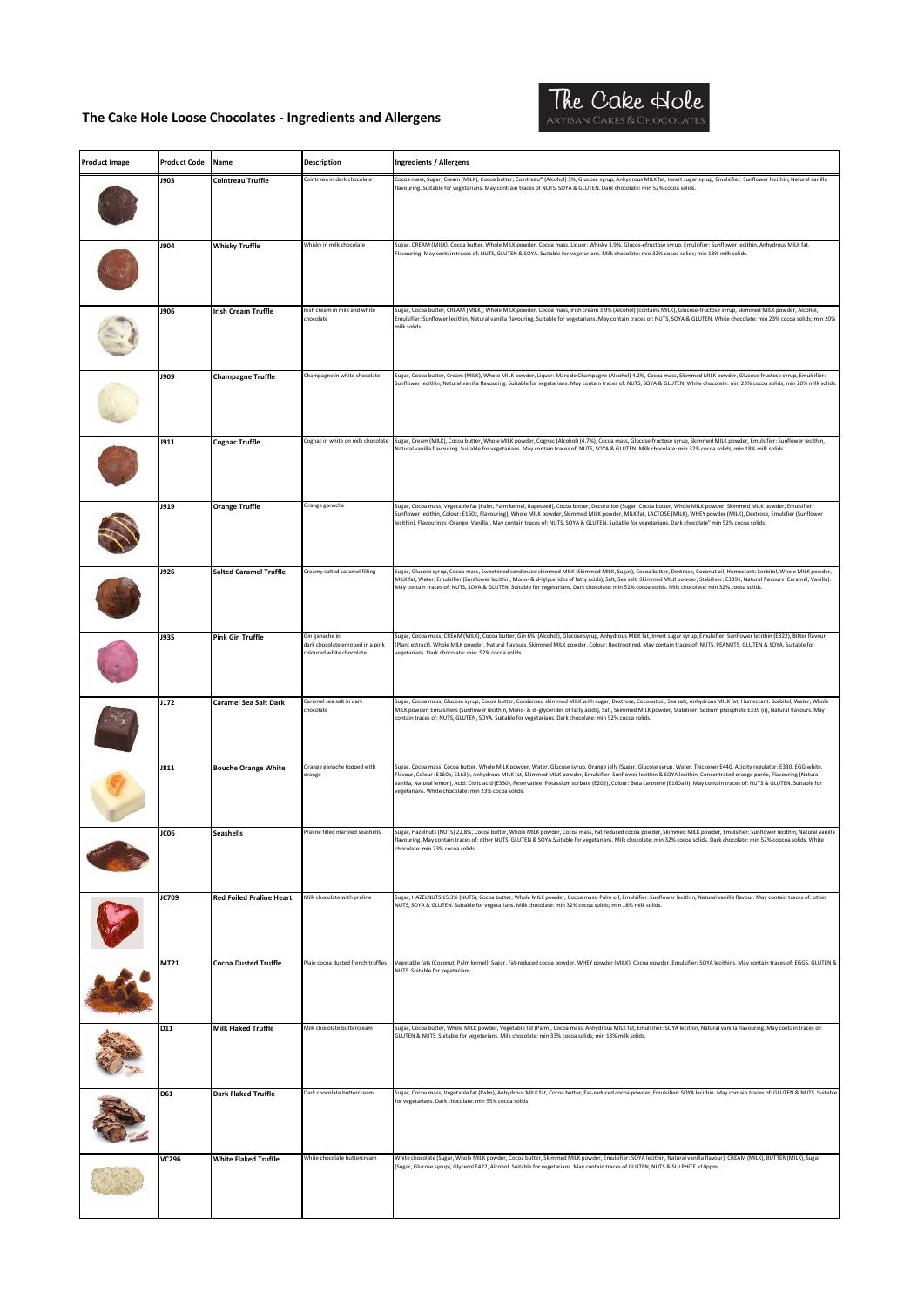

| <b>Product Image</b> | <b>Product Code</b> | Name                            | <b>Description</b>                                                             | <b>Ingredients / Allergens</b>                                                                                                                                                                                                                                                                                                                                                                                                                                                                                                                                                               |
|----------------------|---------------------|---------------------------------|--------------------------------------------------------------------------------|----------------------------------------------------------------------------------------------------------------------------------------------------------------------------------------------------------------------------------------------------------------------------------------------------------------------------------------------------------------------------------------------------------------------------------------------------------------------------------------------------------------------------------------------------------------------------------------------|
|                      | <b>J903</b>         | <b>Cointreau Truffle</b>        | Cointreau in dark chocolate                                                    | Cocoa mass, Sugar, Cream (MILK), Cocoa butter, Cointreau® (Alcohol) 5%, Glucose syrup, Anhydrous MILK fat, Invert sugar syrup, Emulsifier: Sunflower lecithin, Natural vanilla<br>flavouring. Suitable for vegetarians. May contrain traces of NUTS, SOYA & GLUTEN. Dark chocolate: min 52% cocoa solids.                                                                                                                                                                                                                                                                                    |
|                      |                     |                                 |                                                                                |                                                                                                                                                                                                                                                                                                                                                                                                                                                                                                                                                                                              |
|                      | <b>J904</b>         | <b>Whisky Truffle</b>           | Whisky in milk chocolate                                                       | Sugar, CREAM (MILK), Cocoa butter, Whole MILK powder, Cocoa mass, Liquor: Whisky 3.9%, Glucos-efructose syrup, Emulsifier: Sunflower lecithin, Anhydrous MILK fat,<br>Flavouring. May contain traces of: NUTS, GLUTEN & SOYA. Suitable for vegetarians. Milk chocolate: min 32% cocoa solids; min 18% milk solids.                                                                                                                                                                                                                                                                           |
|                      | <b>J906</b>         | <b>Irish Cream Truffle</b>      | Irish cream in milk and white<br>chocolate                                     | Sugar, Cocoa butter, CREAM (MILK), Whole MILK powder, Cocoa mass, Irish cream 3.9% (Alcohol) (contains MILK), Glucose-fructose syrup, Skimmed MILK powder, Alcohol,<br>Emulsifier: Sunflower lecithin, Natural vanilla flavouring. Suitable for vegetarians. May contain traces of: NUTS, SOYA & GLUTEN. White chocolate: min 23% cocoa solids; min 20%<br>milk solids.                                                                                                                                                                                                                      |
|                      | <b>J909</b>         | <b>Champagne Truffle</b>        | Champagne in white chocolate                                                   | Sugar, Cocoa butter, Cream (MILK), Whote MILK powder, Liquor: Marc de Champagne (Alcohol) 4.2%, Cocoa mass, Skimmed MILK powder, Glucose-fructose syrup, Emulsifier:<br>Sunflower lecithin, Natural vanilla flavouring. Suitable for vegetarians. May contain traces of: NUTS, SOYA & GLUTEN. White chocolate: min 23% cocoa solids; min 20% milk solids                                                                                                                                                                                                                                     |
|                      | <b>J911</b>         | <b>Cognac Truffle</b>           | Cognac in white on milk chocolate                                              | Sugar, Cream (MILK), Cocoa butter, Whole MILK powder, Cognac (Alcohol) (4.7%), Cocoa mass, Glucose-fructose syrup, Skimmed MILK powder, Emulsifier: Sunflower lecithin,<br>Natural vanilla flavouring. Suitable for vegetarians. May contain traces of: NUTS, SOYA & GLUTEN. Milk chocolate: min 32% cocoa solids; min 18% milk solids.                                                                                                                                                                                                                                                      |
|                      | <b>J919</b>         | <b>Orange Truffle</b>           | Orange ganache                                                                 | Sugar, Cocoa mass, Vegetable fat (Palm, Palm kernel, Rapeseed), Cocoa butter, Decoration (Sugar, Cocoa butter, Whole MILK powder, Skimmed MILK powder, Emulsifier:<br>-<br>Sunflower lecithin, Colour: E160c, Flavouring), Whole MILK powder, Skimmed MILK powder, MILK fat, LACTOSE (MILK), WHEY powder (MILK), Dextrose, Emulsfier (Sunflower<br>lecithin), Flavourings (Orange, Vanilla). May contain traces of: NUTS, SOYA & GLUTEN. Suitable for vegetarians. Dark chocolate" min 52% cocoa solids.                                                                                     |
|                      | <b>J926</b>         | <b>Salted Caramel Truffle</b>   | Creamy salted caramel filling                                                  | Sugar, Glucose syrup, Cocoa mass, Sweetened condensed skimmed MILK (Skimmed MILK, Sugar), Cocoa butter, Dextrose, Coconut oil, Humectant: Sorbitol, Whole MILK powder,<br>MILK fat, Water, Emulsifier (Sunflower lecithin, Mono- & d-iglycerides of fatty acids), Salt, Sea salt, Skimmed MILK powder, Stabiliser: E339ii, Natural flavours (Caramel, Vanilla).<br>May contain traces of: NUTS, SOYA & GLUTEN. Suitable for vegetarians. Dark chocolate: min 52% cocoa solids. Milk chocolate: min 32% cocoa solids.                                                                         |
|                      | <b>J935</b>         | <b>Pink Gin Truffle</b>         | Gin ganache in<br>dark chocolate enrobed in a pink<br>coloured white chocolate | iugar, Cocoa mass, CREAM (MILK), Cocoa butter, Gin 6% (Alcohol), Glucose syrup, Anhydrous MILK fat, Invert sugar syrup, Emulsifier: Sunflower lecithin (E322), Bitter flavour<br>[Plant extract), Whole MILK powder, Natural flavours, Skimmed MILK powder, Colour: Beetroot red. May contain traces of: NUTS, PEANUTS, GLUTEN & SOYA. Suitable for<br>egetarians. Dark chocolate: min: 52% cocoa solids.                                                                                                                                                                                    |
|                      | J172                | <b>Caramel Sea Salt Dark</b>    | Caramel sea salt in dark<br>chocolate                                          | Sugar, Cocoa mass, Glucose syrup, Cocoa butter, Condensed skimmed MILK with sugar, Dextrose, Coconut oil, Sea salt, Anhydrous MILK fat, Humectant: Sorbitol, Water, Whole<br>MILK powder, Emulsifiers (Sunflower lecithin, Mono- & di-glycerides of fatty acids), Salt, Skimmed MILK powder, Stabiliser: Sodium phosphate E339 (ii), Natural flavours. May<br>contain traces of: NUTS, GLUTEN, SOYA. Suitable for vegetarians. Dark chocolate: min 52% cocoa solids.                                                                                                                         |
|                      | <b>J811</b>         | <b>Bouche Orange White</b>      | Orange ganache topped with<br>orange                                           | Sugar, Cocoa mass, Cocoa butter, Whole MILK powder, Water, Glucose syrup, Orange jelly (Sugar, Glucose syrup, Water, Thickener E440, Acidity regulator: E330, EGG white,<br>Flavour, Colour (E160a, E163)), Anhydrous MILK fat, Skimmed MILK powder, Emulsifier: Sunflower lecithin & SOYA lecithin, Concentrated orange purée, Flavouring (Natural<br>ranilla, Natural lemon), Acid: Citric acid (E330), Peservative: Potassium sorbate (E202), Colour: Beta carotene (E160a ii). May contain traces of: NUTS & GLUTEN. Suitable for<br>regetarians. White chocolate: min 23% cocoa solids. |
|                      | JC06                | <b>Seashells</b>                | Praline filled marbled seashells                                               | Sugar, Hazelnuts (NUTS) 22,8%, Cocoa butter, Whole MILK powder, Cocoa mass, Fat reduced cocoa powder, Skimmed MILK powder, Emulsifier: Sunflower lecithin, Natural vanilla<br>lavouring. May contain traces of: other NUTS, GLUTEN & SOYA.Suitable for vegetarians. Milk chocolate: min 32% cocoa solids. Dark chocolate: min 52% copcoa solids. White<br>chocolate: min 23% cocoa solids.                                                                                                                                                                                                   |
|                      | JC709               | <b>Red Foiled Praline Heart</b> | Milk chocolate with praline                                                    | Sugar, HAZELNUTS 15.3% (NUTS), Cocoa butter, Whole MILK powder, Cocoa mass, Palm oil, Emulsifier: Sunflower lecithin, Natural vanilla flavour. May contain traces of: other<br>NUTS, SOYA & GLUTEN. Suitable for vegetarians. Milk chocolate: min 32% cocoa solids; min 18% milk solids.                                                                                                                                                                                                                                                                                                     |
|                      | MT21                | <b>Cocoa Dusted Truffle</b>     | Plain cocoa dusted french truffles                                             | Vegetable fats (Coconut, Palm kernel), Sugar, Fat-reduced cocoa powder, WHEY powder (MILK), Cocoa powder, Emulsifier: SOYA lecithins. May contain traces of: EGGS, GLUTEN &<br>NUTS. Suitable for vegetarians.                                                                                                                                                                                                                                                                                                                                                                               |
|                      | D11                 | <b>Milk Flaked Truffle</b>      | Milk chocolate buttercream                                                     | Sugar, Cocoa butter, Whole MILK powder, Vegetable fat (Palm), Cocoa mass, Anhydrous MILK fat, Emulsifier: SOYA lecithin, Natural vanilla flavouring. May contain traces of:<br>GLUTEN & NUTS. Suitable for vegetarians. Milk chocolate: min 33% cocoa solids; min 18% milk solids.                                                                                                                                                                                                                                                                                                           |
|                      | D61                 | <b>Dark Flaked Truffle</b>      | Dark chocolate buttercream                                                     | Sugar, Cocoa mass, Vegetable fat (Palm), Anhydrous MILK fat, Cocoa butter, Fat-reduced cocoa powder, Emulsifier: SOYA lecithin. May contain traces of: GLUTEN & NUTS. Suitable<br>for vegetarians. Dark chocolate: min 55% cocoa solids.                                                                                                                                                                                                                                                                                                                                                     |
|                      | <b>VC296</b>        | <b>White Flaked Truffle</b>     | White chocolate buttercream                                                    | White chocolate (Sugar, Whole MILK powder, Cocoa butter, Skimmed MILK powder, Emulsifier: SOYA lecithin, Natural vanilla flavour), CREAM (MILK), BUTTER (MILK), Sugar<br>(Sugar, Glucose syrup), Glycerol E422, Alcohol. Suitable for vegetarians. May contain traces of GLUTEN, NUTS & SULPHITE >10ppm.                                                                                                                                                                                                                                                                                     |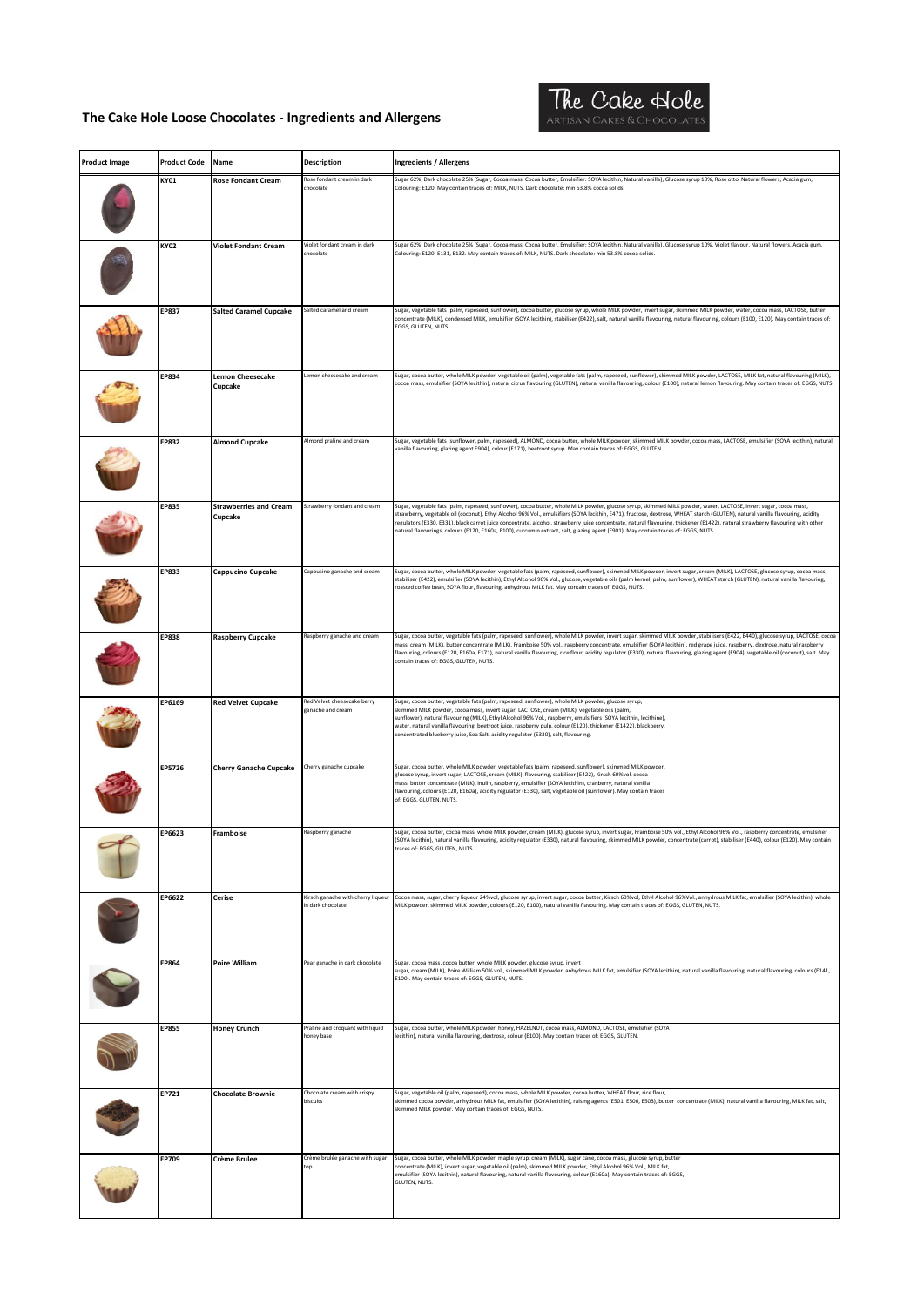

| <b>Product Image</b> | <b>Product Code</b> | Name                                     | <b>Description</b>                                      | <b>Ingredients / Allergens</b>                                                                                                                                                                                                                                                                                                                                                                                                                                                                                                                                                                                                                                               |
|----------------------|---------------------|------------------------------------------|---------------------------------------------------------|------------------------------------------------------------------------------------------------------------------------------------------------------------------------------------------------------------------------------------------------------------------------------------------------------------------------------------------------------------------------------------------------------------------------------------------------------------------------------------------------------------------------------------------------------------------------------------------------------------------------------------------------------------------------------|
|                      | KY01                | <b>Rose Fondant Cream</b>                | Rose fondant cream in dark<br>chocolate                 | , iugar 62%, Dark chocolate 25% (Sugar, Cocoa mass, Cocoa butter, Emulsifier: SOYA lecithin, Natural vanilla), Glucose syrup 10%, Rose otto, Natural flowers, Acacia gum,<br>Colouring: E120. May contain traces of: MILK, NUTS. Dark chocolate: min 53.8% cocoa solids.                                                                                                                                                                                                                                                                                                                                                                                                     |
|                      |                     |                                          |                                                         |                                                                                                                                                                                                                                                                                                                                                                                                                                                                                                                                                                                                                                                                              |
|                      | KY02                | <b>Violet Fondant Cream</b>              | Violet fondant cream in dark<br>chocolate               | Sugar 62%, Dark chocolate 25% (Sugar, Cocoa mass, Cocoa butter, Emulsifier: SOYA lecithin, Natural vanilla), Glucose syrup 10%, Violet flavour, Natural flowers, Acacia gum,<br>Colouring: E120, E131, E132. May contain traces of: MILK, NUTS. Dark chocolate: min 53.8% cocoa solids.                                                                                                                                                                                                                                                                                                                                                                                      |
|                      | <b>EP837</b>        | <b>Salted Caramel Cupcake</b>            | Salted caramel and cream                                | Sugar, vegetable fats (palm, rapeseed, sunflower), cocoa butter, glucose syrup, whole MILK powder, invert sugar, skimmed MILK powder, water, cocoa mass, LACTOSE, butter<br>concentrate (MILK), condensed MILK, emulsifier (SOYA lecithin), stabiliser (E422), salt, natural vanilla flavouring, natural flavouring, colours (E100, E120). May contain traces of:<br>EGGS, GLUTEN, NUTS.                                                                                                                                                                                                                                                                                     |
|                      | EP834               | <b>Lemon Cheesecake</b><br>Cupcake       | emon cheesecake and cream.                              | iugar, cocoa butter, whole MILK powder, vegetable oil (palm), vegetable fats (palm, rapeseed, sunflower), skimmed MILK powder, LACTOSE, MILK fat, natural flavouring (MILK),<br>cocoa mass, emulsifier (SOYA lecithin), natural citrus flavouring (GLUTEN), natural vanilla flavouring, colour (E100), natural lemon flavouring. May contain traces of: EGGS, NUTS.                                                                                                                                                                                                                                                                                                          |
|                      | <b>EP832</b>        | <b>Almond Cupcake</b>                    | Almond praline and cream                                | Sugar, vegetable fats (sunflower, palm, rapeseed), ALMOND, cocoa butter, whole MILK powder, skimmed MILK powder, cocoa mass, LACTOSE, emulsifier (SOYA lecithin), natural<br>vanilla flavouring, glazing agent E904), colour (E171), beetroot syrup. May contain traces of: EGGS, GLUTEN.                                                                                                                                                                                                                                                                                                                                                                                    |
|                      | <b>EP835</b>        | <b>Strawberries and Cream</b><br>Cupcake | Strawberry fondant and cream                            | Sugar, vegetable fats (palm, rapeseed, sunflower), cocoa butter, whole MILK powder, glucose syrup, skimmed MILK powder, water, LACTOSE, invert sugar, cocoa mass,<br>strawberry, vegetable oil (coconut), Ethyl Alcohol 96% Vol., emulsifiers (SOYA lecithin, E471), fructose, dextrose, WHEAT starch (GLUTEN), natural vanilla flavouring, acidity<br>regulators (E330, E331), black carrot juice concentrate, alcohol, strawberry juice concentrate, natural flavouring, thickener (E1422), natural strawberry flavouring with other<br>natural flavourings, colours (E120, E160a, E100), curcumin extract, salt, glazing agent (E901). May contain traces of: EGGS, NUTS. |
|                      | EP833               | Cappucino Cupcake                        | Cappucino ganache and cream                             | Sugar, cocoa butter, whole MILK powder, vegetable fats (palm, rapeseed, sunflower), skimmed MILK powder, invert sugar, cream (MILK), LACTOSE, glucose syrup, cocoa mass,<br>stabiliser (E422), emulsifier (SOYA lecithin), Ethyl Alcohol 96% Vol., glucose, vegetable oils (palm kernel, palm, sunflower), WHEAT starch (GLUTEN), natural vanilla flavouring,<br>roasted coffee bean, SOYA flour, flavouring, anhydrous MILK fat. May contain traces of: EGGS, NUTS.                                                                                                                                                                                                         |
|                      | <b>EP838</b>        | <b>Raspberry Cupcake</b>                 | Raspberry ganache and cream                             | Sugar, cocoa butter, vegetable fats (palm, rapeseed, sunflower), whole MILK powder, invert sugar, skimmed MILK powder, stabilisers (E422, E440), glucose syrup, LACTOSE, cocoa<br>mass, cream (MILK), butter concentrate (MILK), Framboise 50% vol., raspberry concentrate, emulsifier (SOYA lecithin), red grape juice, raspberry, dextrose, natural raspberry<br>flavouring, colours (E120, E160a, E171), natural vanilla flavouring, rice flour, acidity regulator (E330), natural flavouring, glazing agent (E904), vegetable oil (coconut), salt. May<br>contain traces of: EGGS, GLUTEN, NUTS.                                                                         |
|                      | EP6169              | <b>Red Velvet Cupcake</b>                | Red Velvet cheesecake berry<br>ganache and cream        | Sugar, cocoa butter, vegetable fats (palm, rapeseed, sunflower), whole MILK powder, glucose syrup,<br>skimmed MILK powder, cocoa mass, invert sugar, LACTOSE, cream (MILK), vegetable oils (palm,<br>sunflower), natural flavouring (MILK), Ethyl Alcohol 96% Vol., raspberry, emulsifiers (SOYA lecithin, lecithine),<br>water, natural vanilla flavouring, beetroot juice, raspberry pulp, colour (E120), thickener (E1422), blackberry,<br>concentrated blueberry juice, Sea Salt, acidity regulator (E330), salt, flavouring.                                                                                                                                            |
|                      | EP5726              | <b>Cherry Ganache Cupcake</b>            | Cherry ganache cupcake                                  | Sugar, cocoa butter, whole MILK powder, vegetable fats (palm, rapeseed, sunflower), skimmed MILK powder,<br>glucose syrup, invert sugar, LACTOSE, cream (MILK), flavouring, stabiliser (E422), Kirsch 60%vol, cocoa<br>mass, butter concentrate (MILK), inulin, raspberry, emulsifier (SOYA lecithin), cranberry, natural vanilla<br>flavouring, colours (E120, E160a), acidity regulator (E330), salt, vegetable oil (sunflower). May contain traces<br>of: EGGS, GLUTEN, NUTS.                                                                                                                                                                                             |
|                      | EP6623              | Framboise                                | Raspberry ganache                                       | Sugar, cocoa butter, cocoa mass, whole MILK powder, cream (MILK), glucose syrup, invert sugar, Framboise 50% vol., Ethyl Alcohol 96% Vol., raspberry concentrate, emulsifier<br>OYA lecithin), natural vanilla flavouring, acidity regulator (E330), natural flavouring, skimmed MILK powder, concentrate (carrot), stabiliser (E440), colour (E120). May contain<br>traces of: EGGS, GLUTEN, NUTS.                                                                                                                                                                                                                                                                          |
|                      | EP6622              | Cerise                                   | Kirsch ganache with cherry liqueur<br>in dark chocolate | Cocoa mass, sugar, cherry liqueur 24%vol, glucose syrup, invert sugar, cocoa butter, Kirsch 60%vol, Ethyl Alcohol 96%Vol., anhydrous MILK fat, emulsifier (SOYA lecithin), whole<br>MILK powder, skimmed MILK powder, colours (E120, E100), natural vanilla flavouring. May contain traces of: EGGS, GLUTEN, NUTS.                                                                                                                                                                                                                                                                                                                                                           |
|                      | EP864               | Poire William                            | Pear ganache in dark chocolate                          | Sugar, cocoa mass, cocoa butter, whole MILK powder, glucose syrup, invert<br>sugar, cream (MILK), Poire William 50% vol., skimmed MILK powder, anhydrous MILK fat, emulsifier (SOYA lecithin), natural vanilla flavouring, natural flavouring, colours (E141,<br>E100). May contain traces of: EGGS, GLUTEN, NUTS.                                                                                                                                                                                                                                                                                                                                                           |
|                      | <b>EP855</b>        | <b>Honey Crunch</b>                      | Praline and croquant with liquid<br>honey base          | Sugar, cocoa butter, whole MILK powder, honey, HAZELNUT, cocoa mass, ALMOND, LACTOSE, emulsifier (SOYA<br>lecithin), natural vanilla flavouring, dextrose, colour (E100). May contain traces of: EGGS, GLUTEN.                                                                                                                                                                                                                                                                                                                                                                                                                                                               |
|                      | EP721               | <b>Chocolate Brownie</b>                 | Chocolate cream with crispy<br>biscuits                 | Sugar, vegetable oil (palm, rapeseed), cocoa mass, whole MILK powder, cocoa butter, WHEAT flour, rice flour,<br>skimmed cocoa powder, anhydrous MILK fat, emulsifier (SOYA lecithin), raising agents (E501, E500, E503), butter concentrate (MILK), natural vanilla flavouring, MILK fat, salt,<br>skimmed MILK powder. May contain traces of: EGGS, NUTS.                                                                                                                                                                                                                                                                                                                   |
|                      | EP709               | <b>Crème Brulee</b>                      | Crème brulée ganache with sugar<br>top                  | Sugar, cocoa butter, whole MILK powder, maple syrup, cream (MILK), sugar cane, cocoa mass, glucose syrup, butter<br>concentrate (MILK), invert sugar, vegetable oil (palm), skimmed MILK powder, Ethyl Alcohol 96% Vol., MILK fat,<br>emulsifier (SOYA lecithin), natural flavouring, natural vanilla flavouring, colour (E160a). May contain traces of: EGGS,<br>GLUTEN, NUTS.                                                                                                                                                                                                                                                                                              |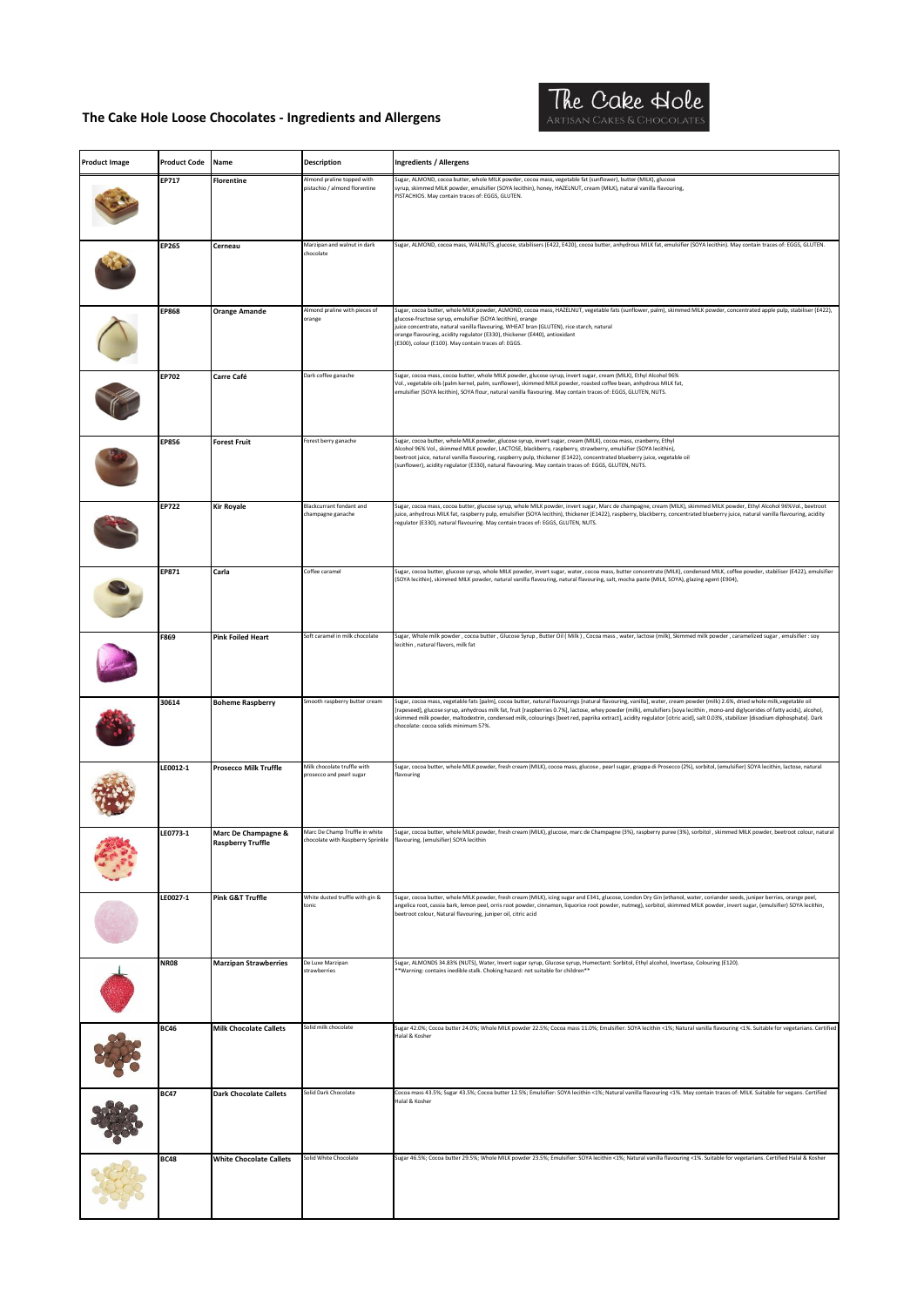

| <b>Product Image</b> | <b>Product Code</b> | Name                                            | <b>Description</b>                                      | <b>Ingredients / Allergens</b>                                                                                                                                                                                                                                                                                                                                                                                                                                                                                                                                                             |
|----------------------|---------------------|-------------------------------------------------|---------------------------------------------------------|--------------------------------------------------------------------------------------------------------------------------------------------------------------------------------------------------------------------------------------------------------------------------------------------------------------------------------------------------------------------------------------------------------------------------------------------------------------------------------------------------------------------------------------------------------------------------------------------|
|                      | EP717               | <b>Florentine</b>                               | Almond praline topped with                              | Sugar, ALMOND, cocoa butter, whole MILK powder, cocoa mass, vegetable fat (sunflower), butter (MILK), glucose<br>syrup, skimmed MILK powder, emulsifier (SOYA lecithin), honey, HAZELNUT, cream (MILK), natural vanilla flavouring,                                                                                                                                                                                                                                                                                                                                                        |
|                      |                     |                                                 | pistachio / almond florentine                           | PISTACHIOS. May contain traces of: EGGS, GLUTEN.                                                                                                                                                                                                                                                                                                                                                                                                                                                                                                                                           |
|                      | EP265               | Cerneau                                         | Marzipan and walnut in dark<br>chocolate                | Sugar, ALMOND, cocoa mass, WALNUTS, glucose, stabilisers (E422, E420), cocoa butter, anhydrous MILK fat, emulsifier (SOYA lecithin). May contain traces of: EGGS, GLUTEN.                                                                                                                                                                                                                                                                                                                                                                                                                  |
|                      | <b>EP868</b>        | <b>Orange Amande</b>                            | Almond praline with pieces of<br>orange                 | Sugar, cocoa butter, whole MILK powder, ALMOND, cocoa mass, HAZELNUT, vegetable fats (sunflower, palm), skimmed MILK powder, concentrated apple pulp, stabiliser (E422),<br>glucose-fructose syrup, emulsifier (SOYA lecithin), orange<br>juice concentrate, natural vanilla flavouring, WHEAT bran (GLUTEN), rice starch, natural<br>orange flavouring, acidity regulator (E330), thickener (E440), antioxidant<br>(E300), colour (E100). May contain traces of: EGGS.                                                                                                                    |
|                      | EP702               | Carre Café                                      | Dark coffee ganache                                     | Sugar, cocoa mass, cocoa butter, whole MILK powder, glucose syrup, invert sugar, cream (MILK), Ethyl Alcohol 96%<br>Vol., vegetable oils (palm kernel, palm, sunflower), skimmed MILK powder, roasted coffee bean, anhydrous MILK fat,<br>emulsifier (SOYA lecithin), SOYA flour, natural vanilla flavouring. May contain traces of: EGGS, GLUTEN, NUTS.                                                                                                                                                                                                                                   |
|                      | <b>EP856</b>        | <b>Forest Fruit</b>                             | Forest berry ganache                                    | Sugar, cocoa butter, whole MILK powder, glucose syrup, invert sugar, cream (MILK), cocoa mass, cranberry, Ethyl<br>Alcohol 96% Vol., skimmed MILK powder, LACTOSE, blackberry, raspberry, strawberry, emulsifier (SOYA lecithin),<br>beetroot juice, natural vanilla flavouring, raspberry pulp, thickener (E1422), concentrated blueberry juice, vegetable oil<br>(sunflower), acidity regulator (E330), natural flavouring. May contain traces of: EGGS, GLUTEN, NUTS.                                                                                                                   |
|                      | EP722               | <b>Kir Royale</b>                               | Blackcurrant fondant and<br>champagne ganache           | Sugar, cocoa mass, cocoa butter, glucose syrup, whole MILK powder, invert sugar, Marc de champagne, cream (MILK), skimmed MILK powder, Ethyl Alcohol 96%Vol., beetroot<br>juice, anhydrous MILK fat, raspberry pulp, emulsifier (SOYA lecithin), thickener (E1422), raspberry, blackberry, concentrated blueberry juice, natural vanilla flavouring, acidity<br>regulator (E330), natural flavouring. May contain traces of: EGGS, GLUTEN, NUTS.                                                                                                                                           |
|                      | EP871               | Carla                                           | Coffee caramel                                          | Sugar, cocoa butter, glucose syrup, whole MILK powder, invert sugar, water, cocoa mass, butter concentrate (MILK), condensed MILK, coffee powder, stabiliser (E422), emulsifier<br>(SOYA lecithin), skimmed MILK powder, natural vanilla flavouring, natural flavouring, salt, mocha paste (MILK, SOYA), glazing agent (E904),                                                                                                                                                                                                                                                             |
|                      | F869                | <b>Pink Foiled Heart</b>                        | Soft caramel in milk chocolate                          | Sugar, Whole milk powder , cocoa butter , Glucose Syrup , Butter Oil ( Milk ) , Cocoa mass , water, lactose (milk), Skimmed milk powder , caramelized sugar , emulsifier : soy<br>lecithin, natural flavors, milk fat                                                                                                                                                                                                                                                                                                                                                                      |
|                      | 30614               | <b>Boheme Raspberry</b>                         | Smooth raspberry butter cream                           | Sugar, cocoa mass, vegetable fats [palm], cocoa butter, natural flavourings [natural flavouring, vanilla], water, cream powder (milk) 2.6%, dried whole milk,vegetable oil<br>[rapeseed], glucose syrup, anhydrous milk fat, fruit [raspberries 0.7%], lactose, whey powder (milk), emulsifiers [soya lecithin, mono-and diglycerides of fatty acids], alcohol,<br>skimmed milk powder, maltodextrin, condensed milk, colourings (beet red, paprika extract), acidity regulator [citric acid], salt 0.03%, stabilizer [disodium diphosphate]. Dark<br>chocolate: cocoa solids minimum 57%. |
|                      | LE0012-1            | <b>Prosecco Milk Truffle</b>                    | Milk chocolate truffle with<br>prosecco and pearl sugar | Sugar, cocoa butter, whole MILK powder, fresh cream (MILK), cocoa mass, glucose , pearl sugar, grappa di Prosecco (2%), sorbitol, (emulsifier) SOYA lecithin, lactose, natural<br>flavouring                                                                                                                                                                                                                                                                                                                                                                                               |
|                      | LE0773-1            | Marc De Champagne &<br><b>Raspberry Truffle</b> | Marc De Champ Truffle in white                          | Sugar, cocoa butter, whole MILK powder, fresh cream (MILK), glucose, marc de Champagne (3%), raspberry puree (3%), sorbitol, skimmed MILK powder, beetroot colour, natural<br>chocolate with Raspberry Sprinkle flavouring, (emulsifier) SOYA lecithin                                                                                                                                                                                                                                                                                                                                     |
|                      | LE0027-1            | Pink G&T Truffle                                | White dusted truffle with gin &<br>tonic                | Sugar, cocoa butter, whole MILK powder, fresh cream (MILK), icing sugar and E341, glucose, London Dry Gin (ethanol, water, coriander seeds, juniper berries, orange peel,<br>angelica root, cassia bark, lemon peel, orris root powder, cinnamon, liquorice root powder, nutmeg), sorbitol, skimmed MILK powder, invert sugar, (emulsifier) SOYA lecithin,<br>beetroot colour, Natural flavouring, juniper oil, citric acid                                                                                                                                                                |
|                      | <b>NR08</b>         | <b>Marzipan Strawberries</b>                    | De Luxe Marzipan<br>strawberries                        | Sugar, ALMONDS 34.83% (NUTS), Water, Invert sugar syrup, Glucose syrup, Humectant: Sorbitol, Ethyl alcohol, Invertase, Colouring (E120).<br>** Warning: contains inedible stalk. Choking hazard: not suitable for children**                                                                                                                                                                                                                                                                                                                                                               |
|                      | <b>BC46</b>         | <b>Milk Chocolate Callets</b>                   | Solid milk chocolate                                    | Sugar 42.0%; Cocoa butter 24.0%; Whole MILK powder 22.5%; Cocoa mass 11.0%; Emulsifier: SOYA lecithin <1%; Natural vanilla flavouring <1%. Suitable for vegetarians. Certified<br>Halal & Kosher                                                                                                                                                                                                                                                                                                                                                                                           |
|                      | <b>BC47</b>         | <b>Dark Chocolate Callets</b>                   | Solid Dark Chocolate                                    | Cocoa mass 43.5%; Sugar 43.5%; Cocoa butter 12.5%; Emulsifier: SOYA lecithin <1%; Natural vanilla flavouring <1%. May contain traces of: MILK. Suitable for vegans. Certified<br>Halal & Kosher                                                                                                                                                                                                                                                                                                                                                                                            |
|                      | <b>BC48</b>         | <b>White Chocolate Callets</b>                  | Solid White Chocolate                                   | Sugar 46.5%; Cocoa butter 29.5%; Whole MILK powder 23.5%; Emulsifier: SOYA lecithin <1%; Natural vanilla flavouring <1%. Suitable for vegetarians. Certified Halal & Kosher                                                                                                                                                                                                                                                                                                                                                                                                                |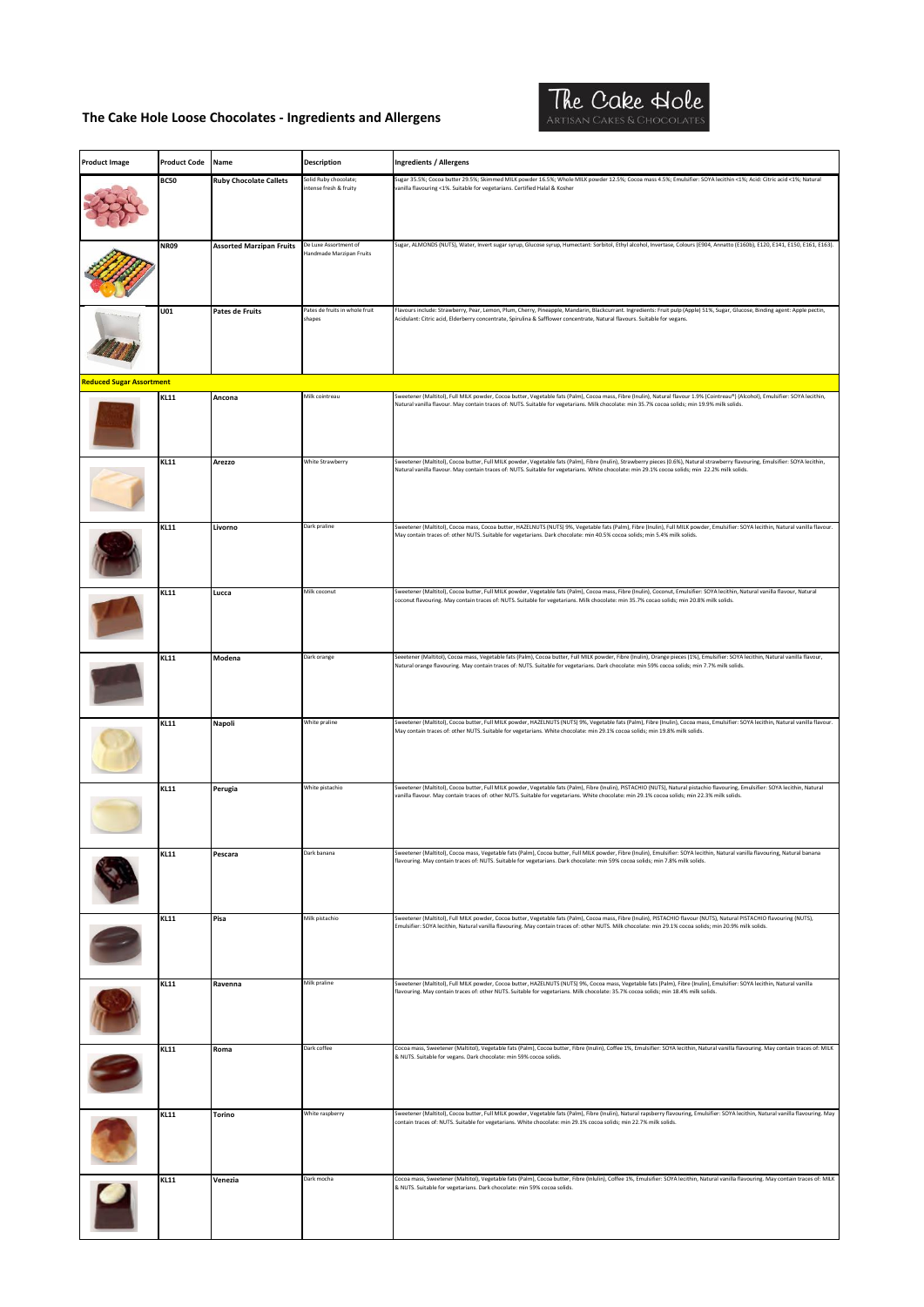

| <b>Product Image</b>            | <b>Product Code</b> | Name                            | <b>Description</b>                                | <b>Ingredients / Allergens</b>                                                                                                                                                                                                                                                                                                      |
|---------------------------------|---------------------|---------------------------------|---------------------------------------------------|-------------------------------------------------------------------------------------------------------------------------------------------------------------------------------------------------------------------------------------------------------------------------------------------------------------------------------------|
|                                 | <b>BC50</b>         | <b>Ruby Chocolate Callets</b>   | Solid Ruby chocolate;                             | Sugar 35.5%; Cocoa butter 29.5%; Skimmed MILK powder 16.5%; Whole MILK powder 12.5%; Cocoa mass 4.5%; Emulsifier: SOYA lecithin <1%; Acid: Citric acid <1%; Natural                                                                                                                                                                 |
|                                 |                     |                                 | intense fresh & fruity                            | vanilla flavouring <1%. Suitable for vegetarians. Certified Halal & Kosher                                                                                                                                                                                                                                                          |
|                                 | <b>NR09</b>         | <b>Assorted Marzipan Fruits</b> | De Luxe Assortment of<br>Handmade Marzipan Fruits | Sugar, ALMONDS (NUTS), Water, Invert sugar syrup, Glucose syrup, Humectant: Sorbitol, Ethyl alcohol, Invertase, Colours (E904, Annatto (E160b), E120, E141, E150, E161, E163).                                                                                                                                                      |
|                                 | U01                 | Pates de Fruits                 | Pates de fruits in whole fruit<br>shapes          | Flavours include: Strawberry, Pear, Lemon, Plum, Cherry, Pineapple, Mandarin, Blackcurrant. Ingredients: Fruit pulp (Apple) 51%, Sugar, Glucose, Binding agent: Apple pectin,<br>Acidulant: Citric acid, Elderberry concentrate, Spirulina & Safflower concentrate, Natural flavours. Suitable for vegans.                          |
| <b>Reduced Sugar Assortment</b> |                     |                                 |                                                   |                                                                                                                                                                                                                                                                                                                                     |
|                                 | <b>KL11</b>         | Ancona                          | Milk cointreau                                    | Sweetener (Maltitol), Full MILK powder, Cocoa butter, Vegetable fats (Palm), Cocoa mass, Fibre (Inulin), Natural flavour 1.9% (Cointreau®) (Alcohol), Emulsifier: SOYA lecithin,<br>Natural vanilla flavour. May contain traces of: NUTS. Suitable for vegetarians. Milk chocolate: min 35.7% cocoa solids; min 19.9% milk solids.  |
|                                 | <b>KL11</b>         | Arezzo                          | White Strawberry                                  | Sweetener (Maltitol), Cocoa butter, Full MILK powder, Vegetable fats (Palm), Fibre (Inulin), Strawberry pieces (0.6%), Natural strawberry flavouring, Emulsifier: SOYA lecithin,<br>Natural vanilla flavour. May contain traces of: NUTS. Suitable for vegetarians. White chocolate: min 29.1% cocoa solids; min 22.2% milk solids. |
|                                 | <b>KL11</b>         | Livorno                         | Dark praline                                      | Sweetener (Maltitol), Cocoa mass, Cocoa butter, HAZELNUTS (NUTS) 9%, Vegetable fats (Palm), Fibre (Inulin), Full MILK powder, Emulsifier: SOYA lecithin, Natural vanilla flavour.<br>May contain traces of: other NUTS. Suitable for vegetarians. Dark chocolate: min 40.5% cocoa solids; min 5.4% milk solids.                     |
|                                 | <b>KL11</b>         | Lucca                           | Milk coconut                                      | Sweetener (Maltitol), Cocoa butter, Full MILK powder, Vegetable fats (Palm), Cocoa mass, Fibre (Inulin), Coconut, Emulsifier: SOYA lecithin, Natural vanilla flavour, Natural<br>coconut flavouring. May contain traces of: NUTS. Suitable for vegetarians. Milk chocolate: min 35.7% cocao solids; min 20.8% milk solids.          |
|                                 | <b>KL11</b>         | Modena                          | Dark orange                                       | Seeetener (Maltitol), Cocoa mass, Vegetable fats (Palm), Cocoa butter, Full MILK powder, Fibre (Inulin), Orange pieces (1%), Emulsifier: SOYA lecithin, Natural vanilla flavour,<br>Natural orange flavouring. May contain traces of: NUTS. Suitable for vegetarians. Dark chocolate: min 59% cocoa solids; min 7.7% milk solids.   |
|                                 | <b>KL11</b>         | Napoli                          | White praline                                     | Sweetener (Maltitol), Cocoa butter, Full MILK powder, HAZELNUTS (NUTS) 9%, Vegetable fats (Palm), Fibre (Inulin), Cocoa mass, Emulsifier: SOYA lecithin, Natural vanilla flavour.<br>May contain traces of: other NUTS. Suitable for vegetarians. White chocolate: min 29.1% cocoa solids; min 19.8% milk solids.                   |
|                                 | <b>KL11</b>         | Perugia                         | White pistachio                                   | Sweetener (Maltitol), Cocoa butter, Full MILK powder, Vegetable fats (Palm), Fibre (Inulin), PISTACHIO (NUTS), Natural pistachio flavouring, Emulsifier: SOYA lecithin, Natural<br>vanilla flavour. May contain traces of: other NUTS. Suitable for vegetarians. White chocolate: min 29.1% cocoa solids; min 22.3% milk solids.    |
|                                 | <b>KL11</b>         | Pescara                         | Dark banana                                       | Sweetener (Maltitol), Cocoa mass, Vegetable fats (Palm), Cocoa butter, Full MILK powder, Fibre (Inulin), Emulsifier: SOYA lecithin, Natural vanilla flavouring, Natural banana<br>flavouring. May contain traces of: NUTS. Suitable for vegetarians. Dark chocolate: min 59% cocoa solids; min 7.8% milk solids.                    |
|                                 | <b>KL11</b>         | Pisa                            | Milk pistachio                                    | Sweetener (Maltitol), Full MILK powder, Cocoa butter, Vegetable fats (Palm), Cocoa mass, Fibre (Inulin), PISTACHIO flavour (NUTS), Natural PISTACHIO flavouring (NUTS),<br>Emulsifier: SOYA lecithin, Natural vanilla flavouring. May contain traces of: other NUTS. Milk chocolate: min 29.1% cocoa solids; min 20.9% milk solids. |
|                                 | <b>KL11</b>         | Ravenna                         | Milk praline                                      | Sweetener (Maltitol), Full MILK powder, Cocoa butter, HAZELNUTS (NUTS) 9%, Cocoa mass, Vegetable fats (Palm), Fibre (Inulin), Emulsifier: SOYA lecithin, Natural vanilla<br>flavouring. May contain traces of: other NUTS. Suitable for vegetarians. Milk chocolate: 35.7% cocoa solids; min 18.4% milk solids.                     |
|                                 | <b>KL11</b>         | Roma                            | Dark coffee                                       | Cocoa mass, Sweetener (Maltitol), Vegetable fats (Palm), Cocoa butter, Fibre (Inulin), Coffee 1%, Emulsifier: SOYA lecithin, Natural vanilla flavouring. May contain traces of: MILK<br>& NUTS. Suitable for vegans. Dark chocolate: min 59% cocoa solids.                                                                          |
|                                 | <b>KL11</b>         | Torino                          | White raspberry                                   | Sweetener (Maltitol), Cocoa butter, Full MILK powder, Vegetable fats (Palm), Fibre (Inulin), Natural rapsberry flavouring, Emulsifier: SOYA lecithin, Natural vanilla flavouring. May<br>contain traces of: NUTS. Suitable for vegetarians. White chocolate: min 29.1% cocoa solids; min 22.7% milk solids.                         |
|                                 | <b>KL11</b>         | Venezia                         | Dark mocha                                        | Cocoa mass, Sweetener (Maltitol), Vegetable fats (Palm), Cocoa butter, Fibre (Inlulin), Coffee 1%, Emulsifier: SOYA lecithin, Natural vanilla flavouring. May contain traces of: MILK<br>& NUTS. Suitable for vegetarians. Dark chocolate: min 59% cocoa solids.                                                                    |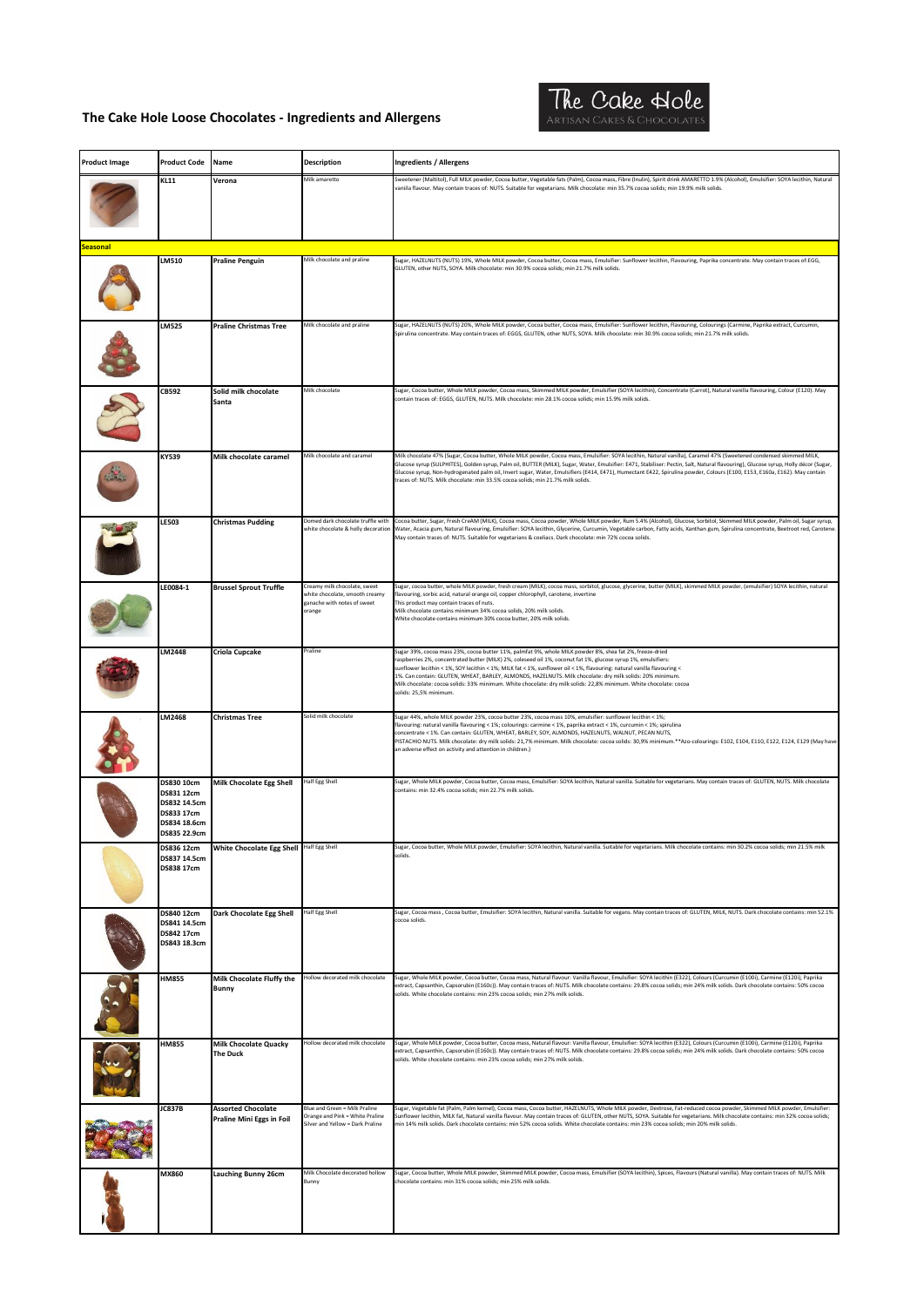

| <b>Product Image</b> | <b>Product Code</b>                                                                    | Name                                                   | <b>Description</b>                                                                                      | <b>Ingredients / Allergens</b>                                                                                                                                                                                                                                                                                                                                                                                                                                                                                                                                                                                             |
|----------------------|----------------------------------------------------------------------------------------|--------------------------------------------------------|---------------------------------------------------------------------------------------------------------|----------------------------------------------------------------------------------------------------------------------------------------------------------------------------------------------------------------------------------------------------------------------------------------------------------------------------------------------------------------------------------------------------------------------------------------------------------------------------------------------------------------------------------------------------------------------------------------------------------------------------|
|                      | <b>KL11</b>                                                                            | Verona                                                 | Milk amaretto                                                                                           | Sweetener (Maltitol), Full MILK powder, Cocoa butter, Vegetable fats (Palm), Cocoa mass, Fibre (Inulin), Spirit drink AMARETTO 1.9% (Alcohol), Emulsifier: SOYA lecithin, Natural                                                                                                                                                                                                                                                                                                                                                                                                                                          |
|                      |                                                                                        |                                                        |                                                                                                         | vaniila flavour. May contain traces of: NUTS. Suitable for vegetarians. Milk chocolate: min 35.7% cocoa solids; min 19.9% milk solids.                                                                                                                                                                                                                                                                                                                                                                                                                                                                                     |
| Seasonal             |                                                                                        |                                                        | Milk chocolate and praline                                                                              | Sugar, HAZELNUTS (NUTS) 19%, Whole MILK powder, Cocoa butter, Cocoa mass, Emulsifier: Sunflower lecithin, Flavouring, Paprika concentrate. May contain traces of:EGG,                                                                                                                                                                                                                                                                                                                                                                                                                                                      |
|                      | LM510                                                                                  | <b>Praline Penguin</b>                                 |                                                                                                         | GLUTEN, other NUTS, SOYA. Milk chocolate: min 30.9% cocoa solids; min 21.7% milk solids.                                                                                                                                                                                                                                                                                                                                                                                                                                                                                                                                   |
|                      | <b>LM525</b>                                                                           | <b>Praline Christmas Tree</b>                          | Milk chocolate and praline                                                                              | Sugar, HAZELNUTS (NUTS) 20%, Whole MILK powder, Cocoa butter, Cocoa mass, Emulsifier: Sunflower lecithin, Flavouring, Colourings (Carmine, Paprika extract, Curcumin,<br>Spirulina concentrate. May contain traces of: EGGS, GLUTEN, other NUTS, SOYA. Milk chocolate: min 30.9% cocoa solids; min 21.7% milk solids.                                                                                                                                                                                                                                                                                                      |
|                      | CB592                                                                                  | Solid milk chocolate<br>Santa                          | Milk chocolate                                                                                          | Sugar, Cocoa butter, Whole MILK powder, Cocoa mass, Skimmed MILK powder, Emulsifier (SOYA lecithin), Concentrate (Carrot), Natural vanilla flavouring, Colour (E120). May<br>contain traces of: EGGS, GLUTEN, NUTS. Milk chocolate: min 28.1% cocoa solids; min 15.9% milk solids.                                                                                                                                                                                                                                                                                                                                         |
|                      | <b>KY539</b>                                                                           | Milk chocolate caramel                                 | Milk chocolate and caramel                                                                              | Milk chocolate 47% (Sugar, Cocoa butter, Whole MILK powder, Cocoa mass, Emulsifier: SOYA lecithin, Natural vanilla), Caramel 47% (Sweetened condensed skimmed MILK,<br>Glucose syrup (SULPHITES), Golden syrup, Palm oil, BUTTER (MILK), Sugar, Water, Emulsifier: E471, Stabiliser: Pectin, Salt, Natural flavouring), Glucose syrup, Holly décor (Sugar,<br>Glucose syrup, Non-hydrogenated palm oil, Invert sugar, Water, Emulsifiers (E414, E471), Humectant E422, Spirulina powder, Colours (E100, E153, E160a, E162). May contain<br>traces of: NUTS. Milk chocolate: min 33.5% cocoa solids; min 21.7% milk solids. |
|                      | <b>LE503</b>                                                                           | <b>Christmas Pudding</b>                               | Domed dark chocolate truffle with<br>white chocolate & holly decoration                                 | Cocoa butter, Sugar, Fresh CreAM (MILK), Cocoa mass, Cocoa powder, Whole MILK powder, Rum 5.4% (Alcohol), Glucose, Sorbitol, Skimmed MILK powder, Palm oil, Sugar syrup,<br>Water, Acacia gum, Natural flavouring, Emulsifier: SOYA lecithin, Glycerine, Curcumin, Vegetable carbon, Fatty acids, Xanthan gum, Spirulina concentrate, Beetroot red, Carotene<br>May contain traces of: NUTS. Suitable for vegetarians & coeliacs. Dark chocolate: min 72% cocoa solids.                                                                                                                                                    |
|                      | LE0084-1                                                                               | <b>Brussel Sprout Truffle</b>                          | Creamy milk chocolate, sweet<br>vhite chocolate, smooth creamy<br>ganache with notes of sweet<br>orange | Sugar, cocoa butter, whole MILK powder, fresh cream (MILK), cocoa mass, sorbitol, glucose, glycerine, butter (MILK), skimmed MILK powder, (emulsifier) SOYA lecithin, natural<br>lavouring, sorbic acid, natural orange oil, copper chlorophyll, carotene, invertine<br>This product may contain traces of nuts.<br>Milk chocolate contains minimum 34% cocoa solids, 20% milk solids.<br>White chocolate contains minimum 30% cocoa butter, 20% milk solids.                                                                                                                                                              |
|                      | LM2448                                                                                 | Criola Cupcake                                         | Praline                                                                                                 | Sugar 39%, cocoa mass 23%, cocoa butter 11%, palmfat 9%, whole MILK powder 8%, shea fat 2%, freeze-dried<br>raspberries 2%, concentrated butter (MILK) 2%, coleseed oil 1%, coconut fat 1%, glucose syrup 1%, emulsifiers:<br>sunflower lecithin < 1%, SOY lecithin < 1%; MILK fat < 1%, sunflower oil < 1%, flavouring: natural vanilla flavouring <<br>1%. Can contain: GLUTEN, WHEAT, BARLEY, ALMONDS, HAZELNUTS. Milk chocolate: dry milk solids: 20% minimum.<br>Milk chocolate: cocoa solids: 33% minimum. White chocolate: dry milk solids: 22,8% minimum. White chocolate: cocoa<br>solids: 25,5% minimum.         |
|                      | LM2468                                                                                 | <b>Christmas Tree</b>                                  | Solid milk chocolate                                                                                    | Sugar 44%, whole MILK powder 23%, cocoa butter 23%, cocoa mass 10%, emulsifier: sunflower lecithin < 1%;<br>flavouring: natural vanilla flavouring < 1%; colourings: carmine < 1%, paprika extract < 1%, curcumin < 1%; spirulina<br>concentrate < 1%. Can contain: GLUTEN, WHEAT, BARLEY, SOY, ALMONDS, HAZELNUTS, WALNUT, PECAN NUTS,<br>PISTACHIO NUTS. Milk chocolate: dry milk solids: 21,7% minimum. Milk chocolate: cocoa solids: 30,9% minimum.**Azo-colourings: E102, E104, E110, E122, E124, E129 (May have<br>an adverse effect on activity and attention in children.)                                         |
|                      | DS830 10cm<br>DS831 12cm<br>DS832 14.5cm<br>DS833 17cm<br>DS834 18.6cm<br>DS835 22.9cm | <b>Milk Chocolate Egg Shell</b>                        | Half Egg Shell                                                                                          | Sugar, Whole MILK powder, Cocoa butter, Cocoa mass, Emulsifier: SOYA lecithin, Natural vanilla. Suitable for vegetarians. May contain traces of: GLUTEN, NUTS. Milk chocolate<br>contains: min 32.4% cocoa solids; min 22.7% milk solids.                                                                                                                                                                                                                                                                                                                                                                                  |
|                      | DS836 12cm<br>DS837 14.5cm<br>DS838 17cm                                               | White Chocolate Egg Shell Half Egg Shell               |                                                                                                         | Sugar, Cocoa butter, Whole MILK powder, Emulsifier: SOYA lecithin, Natural vanilla. Suitable for vegetarians. Milk chocolate contains: min 30.2% cocoa solids; min 21.5% milk<br>solids.                                                                                                                                                                                                                                                                                                                                                                                                                                   |
|                      | DS840 12cm<br>DS841 14.5cm<br>DS842 17cm<br>DS843 18.3cm                               | Dark Chocolate Egg Shell                               | Half Egg Shell                                                                                          | Sugar, Cocoa mass , Cocoa butter, Emulsifier: SOYA lecithin, Natural vanilla. Suitable for vegans. May contain traces of: GLUTEN, MILK, NUTS. Dark chocolate contains: min 52.1%<br>cocoa solids                                                                                                                                                                                                                                                                                                                                                                                                                           |
|                      | <b>HM855</b>                                                                           | Milk Chocolate Fluffy the<br><b>Bunny</b>              | Hollow decorated milk chocolate                                                                         | Sugar, Whole MILK powder, Cocoa butter, Cocoa mass, Natural flavour: Vanilla flavour, Emulsifier: SOYA lecithin (E322), Colours (Curcumin (E100i), Carmine (E120i), Paprika<br>extract, Capsanthin, Capsorubin (E160c)). May contain traces of: NUTS. Milk chocolate contains: 29.8% cocoa solids; min 24% milk solids. Dark chocolate contains: 50% cocoa<br>solids. White chocolate contains: min 23% cocoa solids: min 27% milk solids.                                                                                                                                                                                 |
|                      | <b>HM855</b>                                                                           | <b>Milk Chocolate Quacky</b><br><b>The Duck</b>        | Hollow decorated milk chocolate                                                                         | Sugar, Whole MILK powder, Cocoa butter, Cocoa mass, Natural flavour: Vanilla flavour, Emulsifier: SOYA lecithin (E322), Colours (Curcumin (E100i), Carmine (E120i), Paprika<br>extract, Capsanthin, Capsorubin (E160c)). May contain traces of: NUTS. Milk chocolate contains: 29.8% cocoa solids; min 24% milk solids. Dark chocolate contains: 50% cocoa<br>solids. White chocolate contains: min 23% cocoa solids: min 27% milk solids.                                                                                                                                                                                 |
|                      | JC837B                                                                                 | <b>Assorted Chocolate</b><br>Praline Mini Eggs in Foil | Blue and Green = Milk Praline<br>Orange and Pink = White Praline<br>Silver and Yellow = Dark Praline    | Sugar, Vegetable fat (Palm, Palm kernel), Cocoa mass, Cocoa butter, HAZELNUTS, Whole MILK powder, Dextrose, Fat-reduced cocoa powder, Skimmed MILK powder, Emulsifier:<br>Sunflower lecithin, MILK fat, Natural vanilla flavour. May contain traces of: GLUTEN, other NUTS, SOYA. Suitable for vegetarians. Milk chocolate contains: min 32% cocoa solids;<br>min 14% milk solids. Dark chocolate contains: min 52% cocoa solids. White chocolate contains: min 23% cocoa solids; min 20% milk solids.                                                                                                                     |
|                      | MX860                                                                                  | <b>Lauching Bunny 26cm</b>                             | Milk Chocolate decorated hollow<br><b>Bunny</b>                                                         | Sugar, Cocoa butter, Whole MILK powder, Skimmed MILK powder, Cocoa mass, Emulsifier (SOYA lecithin), Spices, Flavours (Natural vanilla). May contain traces of: NUTS. Milk<br>chocolate contains: min 31% cocoa solids; min 25% milk solids.                                                                                                                                                                                                                                                                                                                                                                               |